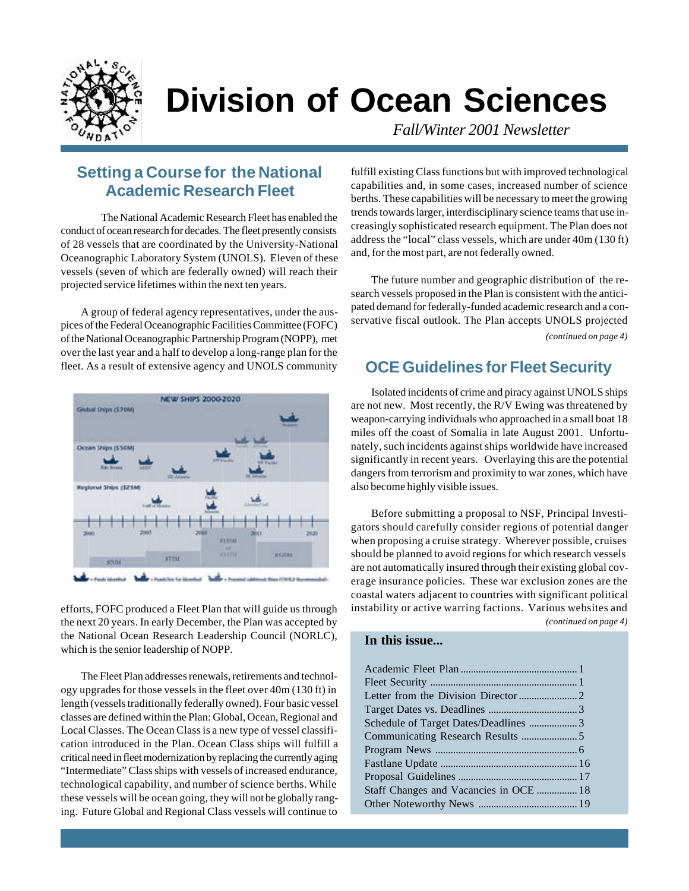

# **Division of Ocean Sciences**

*Fall/Winter 2001 Newsletter*

### **Setting a Course for the National Academic Research Fleet**

The National Academic Research Fleet has enabled the conduct of ocean research for decades. The fleet presently consists of 28 vessels that are coordinated by the University-National Oceanographic Laboratory System (UNOLS). Eleven of these vessels (seven of which are federally owned) will reach their projected service lifetimes within the next ten years.

A group of federal agency representatives, under the auspices of the Federal Oceanographic Facilities Committee (FOFC) of the National Oceanographic Partnership Program (NOPP), met over the last year and a half to develop a long-range plan for the fleet. As a result of extensive agency and UNOLS community



efforts, FOFC produced a Fleet Plan that will guide us through the next 20 years. In early December, the Plan was accepted by the National Ocean Research Leadership Council (NORLC), which is the senior leadership of NOPP.

The Fleet Plan addresses renewals, retirements and technology upgrades for those vessels in the fleet over 40m (130 ft) in length (vessels traditionally federally owned). Four basic vessel classes are defined within the Plan: Global, Ocean, Regional and Local Classes. The Ocean Class is a new type of vessel classification introduced in the Plan. Ocean Class ships will fulfill a critical need in fleet modernization by replacing the currently aging "Intermediate" Class ships with vessels of increased endurance, technological capability, and number of science berths. While these vessels will be ocean going, they will not be globally ranging. Future Global and Regional Class vessels will continue to

fulfill existing Class functions but with improved technological capabilities and, in some cases, increased number of science berths. These capabilities will be necessary to meet the growing trends towards larger, interdisciplinary science teams that use increasingly sophisticated research equipment. The Plan does not address the "local" class vessels, which are under 40m (130 ft) and, for the most part, are not federally owned.

The future number and geographic distribution of the research vessels proposed in the Plan is consistent with the anticipated demand for federally-funded academic research and a conservative fiscal outlook. The Plan accepts UNOLS projected *(continued on page 4)*

### **OCE Guidelines for Fleet Security**

Isolated incidents of crime and piracy against UNOLS ships are not new. Most recently, the R/V Ewing was threatened by weapon-carrying individuals who approached in a small boat 18 miles off the coast of Somalia in late August 2001. Unfortunately, such incidents against ships worldwide have increased significantly in recent years. Overlaying this are the potential dangers from terrorism and proximity to war zones, which have also become highly visible issues.

*(continued on page 4)* Before submitting a proposal to NSF, Principal Investigators should carefully consider regions of potential danger when proposing a cruise strategy. Wherever possible, cruises should be planned to avoid regions for which research vessels are not automatically insured through their existing global coverage insurance policies. These war exclusion zones are the coastal waters adjacent to countries with significant political instability or active warring factions. Various websites and

#### **In this issue...**

| Staff Changes and Vacancies in OCE  18 |  |
|----------------------------------------|--|
|                                        |  |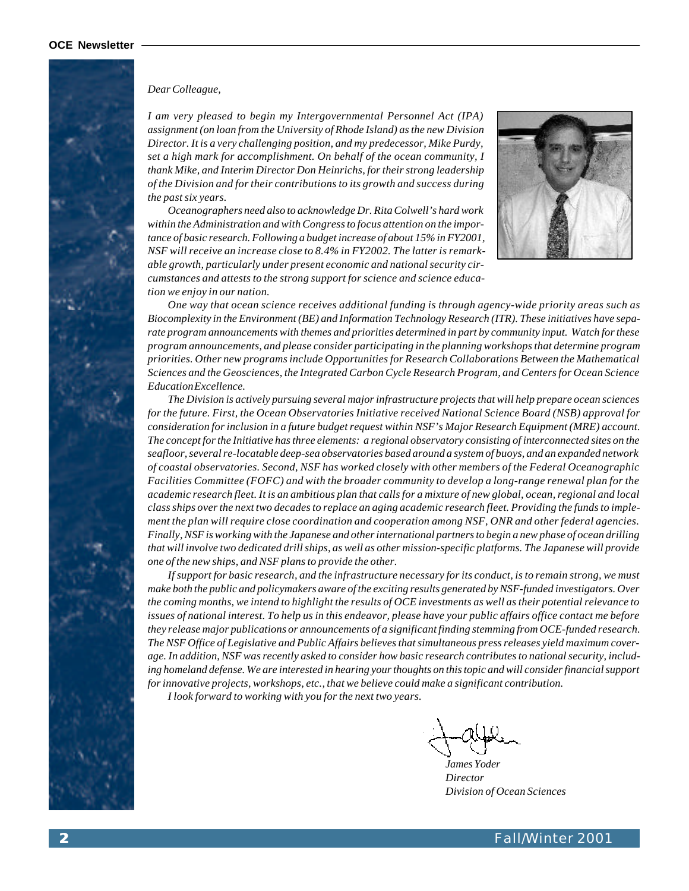#### *Dear Colleague,*

*I am very pleased to begin my Intergovernmental Personnel Act (IPA) assignment (on loan from the University of Rhode Island) as the new Division Director. It is a very challenging position, and my predecessor, Mike Purdy, set a high mark for accomplishment. On behalf of the ocean community, I thank Mike, and Interim Director Don Heinrichs, for their strong leadership of the Division and for their contributions to its growth and success during the past six years.*

*Oceanographers need also to acknowledge Dr. Rita Colwell's hard work within the Administration and with Congress to focus attention on the importance of basic research. Following a budget increase of about 15% in FY2001, NSF will receive an increase close to 8.4% in FY2002. The latter is remarkable growth, particularly under present economic and national security circumstances and attests to the strong support for science and science education we enjoy in our nation.*



*One way that ocean science receives additional funding is through agency-wide priority areas such as Biocomplexity in the Environment (BE) and Information Technology Research (ITR). These initiatives have separate program announcements with themes and priorities determined in part by community input. Watch for these program announcements, and please consider participating in the planning workshops that determine program priorities. Other new programs include Opportunities for Research Collaborations Between the Mathematical Sciences and the Geosciences, the Integrated Carbon Cycle Research Program, and Centers for Ocean Science Education Excellence.*

*The Division is actively pursuing several major infrastructure projects that will help prepare ocean sciences for the future. First, the Ocean Observatories Initiative received National Science Board (NSB) approval for consideration for inclusion in a future budget request within NSF's Major Research Equipment (MRE) account. The concept for the Initiative has three elements: a regional observatory consisting of interconnected sites on the seafloor, several re-locatable deep-sea observatories based around a system of buoys, and an expanded network of coastal observatories. Second, NSF has worked closely with other members of the Federal Oceanographic Facilities Committee (FOFC) and with the broader community to develop a long-range renewal plan for the academic research fleet. It is an ambitious plan that calls for a mixture of new global, ocean, regional and local class ships over the next two decades to replace an aging academic research fleet. Providing the funds to implement the plan will require close coordination and cooperation among NSF, ONR and other federal agencies. Finally, NSF is working with the Japanese and other international partners to begin a new phase of ocean drilling that will involve two dedicated drill ships, as well as other mission-specific platforms. The Japanese will provide one of the new ships, and NSF plans to provide the other.*

*If support for basic research, and the infrastructure necessary for its conduct, is to remain strong, we must make both the public and policymakers aware of the exciting results generated by NSF-funded investigators. Over the coming months, we intend to highlight the results of OCE investments as well as their potential relevance to issues of national interest. To help us in this endeavor, please have your public affairs office contact me before they release major publications or announcements of a significant finding stemming from OCE-funded research. The NSF Office of Legislative and Public Affairs believes that simultaneous press releases yield maximum coverage. In addition, NSF was recently asked to consider how basic research contributes to national security, including homeland defense. We are interested in hearing your thoughts on this topic and will consider financial support for innovative projects, workshops, etc., that we believe could make a significant contribution.*

*I look forward to working with you for the next two years.*

*James Yoder Director Division of Ocean Sciences*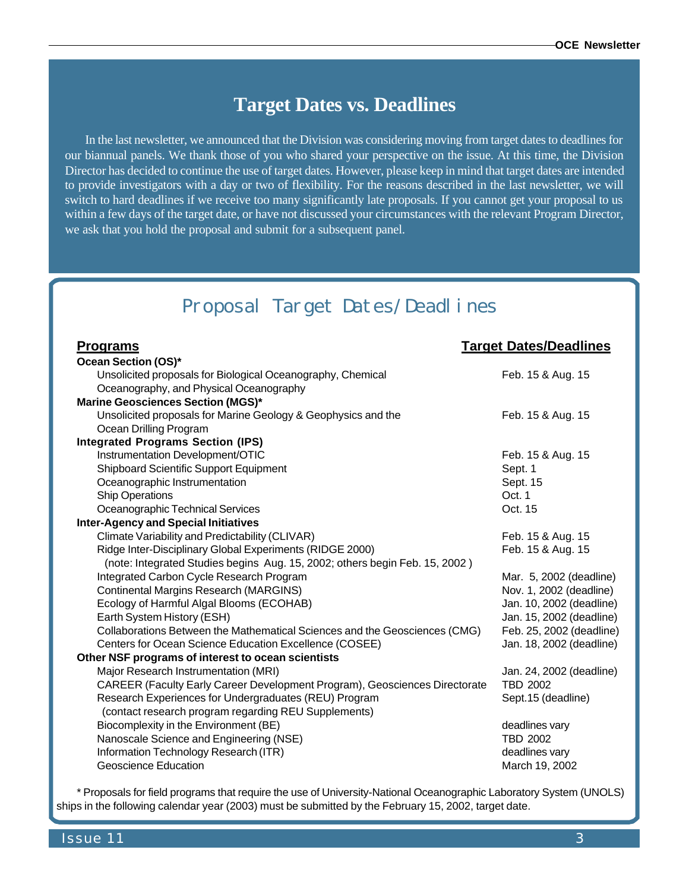### **Target Dates vs. Deadlines**

In the last newsletter, we announced that the Division was considering moving from target dates to deadlines for our biannual panels. We thank those of you who shared your perspective on the issue. At this time, the Division Director has decided to continue the use of target dates. However, please keep in mind that target dates are intended to provide investigators with a day or two of flexibility. For the reasons described in the last newsletter, we will switch to hard deadlines if we receive too many significantly late proposals. If you cannot get your proposal to us within a few days of the target date, or have not discussed your circumstances with the relevant Program Director, we ask that you hold the proposal and submit for a subsequent panel.

## Proposal Target Dates/Deadlines

| <u>Programs</u>                                                             | <b>Target Dates/Deadlines</b>     |  |  |  |
|-----------------------------------------------------------------------------|-----------------------------------|--|--|--|
| Ocean Section (OS)*                                                         |                                   |  |  |  |
| Unsolicited proposals for Biological Oceanography, Chemical                 | Feb. 15 & Aug. 15                 |  |  |  |
| Oceanography, and Physical Oceanography                                     |                                   |  |  |  |
| <b>Marine Geosciences Section (MGS)*</b>                                    |                                   |  |  |  |
| Unsolicited proposals for Marine Geology & Geophysics and the               | Feb. 15 & Aug. 15                 |  |  |  |
| Ocean Drilling Program                                                      |                                   |  |  |  |
| <b>Integrated Programs Section (IPS)</b>                                    |                                   |  |  |  |
| Instrumentation Development/OTIC                                            | Feb. 15 & Aug. 15                 |  |  |  |
| Shipboard Scientific Support Equipment                                      | Sept. 1                           |  |  |  |
| Oceanographic Instrumentation                                               | Sept. 15                          |  |  |  |
| <b>Ship Operations</b>                                                      | Oct. 1                            |  |  |  |
| Oceanographic Technical Services                                            | Oct. 15                           |  |  |  |
| <b>Inter-Agency and Special Initiatives</b>                                 |                                   |  |  |  |
| Climate Variability and Predictability (CLIVAR)                             | Feb. 15 & Aug. 15                 |  |  |  |
| Ridge Inter-Disciplinary Global Experiments (RIDGE 2000)                    | Feb. 15 & Aug. 15                 |  |  |  |
| (note: Integrated Studies begins Aug. 15, 2002; others begin Feb. 15, 2002) |                                   |  |  |  |
| Integrated Carbon Cycle Research Program                                    | Mar. 5, 2002 (deadline)           |  |  |  |
| <b>Continental Margins Research (MARGINS)</b>                               | Nov. 1, 2002 (deadline)           |  |  |  |
| Ecology of Harmful Algal Blooms (ECOHAB)                                    | Jan. 10, 2002 (deadline)          |  |  |  |
| Earth System History (ESH)                                                  | Jan. 15, 2002 (deadline)          |  |  |  |
| Collaborations Between the Mathematical Sciences and the Geosciences (CMG)  | Feb. 25, 2002 (deadline)          |  |  |  |
| Centers for Ocean Science Education Excellence (COSEE)                      | Jan. 18, 2002 (deadline)          |  |  |  |
| Other NSF programs of interest to ocean scientists                          |                                   |  |  |  |
| Major Research Instrumentation (MRI)                                        | Jan. 24, 2002 (deadline)          |  |  |  |
| CAREER (Faculty Early Career Development Program), Geosciences Directorate  | <b>TBD 2002</b>                   |  |  |  |
| Research Experiences for Undergraduates (REU) Program                       | Sept.15 (deadline)                |  |  |  |
| (contact research program regarding REU Supplements)                        |                                   |  |  |  |
| Biocomplexity in the Environment (BE)                                       | deadlines vary<br><b>TBD 2002</b> |  |  |  |
| Nanoscale Science and Engineering (NSE)                                     |                                   |  |  |  |
| Information Technology Research (ITR)                                       | deadlines vary                    |  |  |  |
| Geoscience Education                                                        | March 19, 2002                    |  |  |  |

\* Proposals for field programs that require the use of University-National Oceanographic Laboratory System (UNOLS) ships in the following calendar year (2003) must be submitted by the February 15, 2002, target date.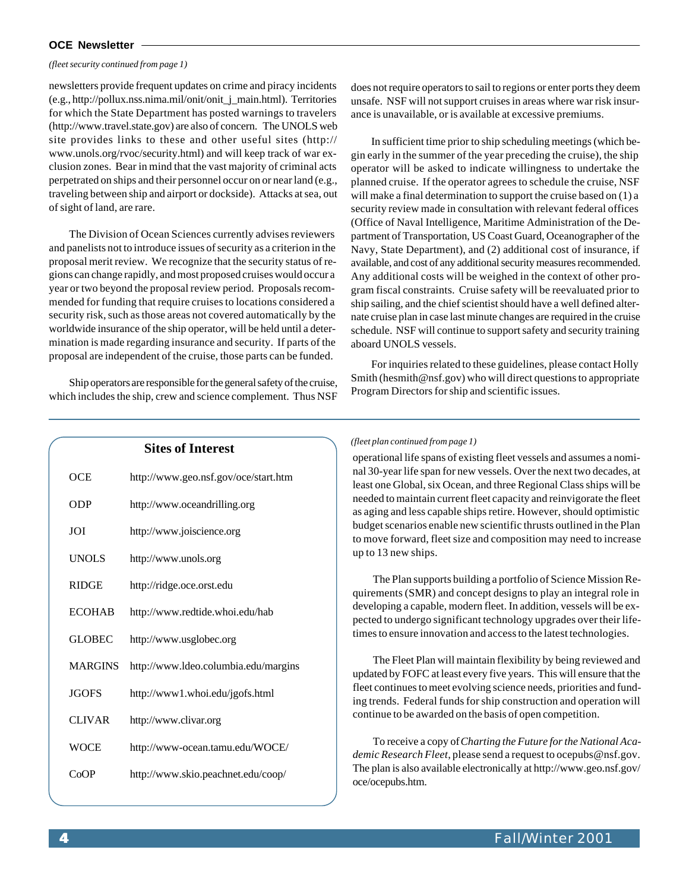#### **OCE Newsletter**

#### *(fleet security continued from page 1)*

newsletters provide frequent updates on crime and piracy incidents (e.g., [http://pollux.nss.nima.mil/onit/onit\\_j\\_main.html\).](http://pollux.nss.nima.mil/onit/onit_j_main.html) Territories for which the State Department has posted warnings to travelers [\(http://www.travel.state.gov\)](http://www.travel.state.gov) are also of concern. The UNOLS web site provides links to these and other useful sites [\(http://](http://) www.unols.org/rvoc/security.html) and will keep track of war exclusion zones. Bear in mind that the vast majority of criminal acts perpetrated on ships and their personnel occur on or near land (e.g., traveling between ship and airport or dockside). Attacks at sea, out of sight of land, are rare.

The Division of Ocean Sciences currently advises reviewers and panelists not to introduce issues of security as a criterion in the proposal merit review. We recognize that the security status of regions can change rapidly, and most proposed cruises would occur a year or two beyond the proposal review period. Proposals recommended for funding that require cruises to locations considered a security risk, such as those areas not covered automatically by the worldwide insurance of the ship operator, will be held until a determination is made regarding insurance and security. If parts of the proposal are independent of the cruise, those parts can be funded.

Ship operators are responsible for the general safety of the cruise, which includes the ship, crew and science complement. Thus NSF does not require operators to sail to regions or enter ports they deem unsafe. NSF will not support cruises in areas where war risk insurance is unavailable, or is available at excessive premiums.

In sufficient time prior to ship scheduling meetings (which begin early in the summer of the year preceding the cruise), the ship operator will be asked to indicate willingness to undertake the planned cruise. If the operator agrees to schedule the cruise, NSF will make a final determination to support the cruise based on (1) a security review made in consultation with relevant federal offices (Office of Naval Intelligence, Maritime Administration of the Department of Transportation, US Coast Guard, Oceanographer of the Navy, State Department), and (2) additional cost of insurance, if available, and cost of any additional security measures recommended. Any additional costs will be weighed in the context of other program fiscal constraints. Cruise safety will be reevaluated prior to ship sailing, and the chief scientist should have a well defined alternate cruise plan in case last minute changes are required in the cruise schedule. NSF will continue to support safety and security training aboard UNOLS vessels.

For inquiries related to these guidelines, please contact Holly Smith (hesmith@nsf.gov) who will direct questions to appropriate Program Directors for ship and scientific issues.

|                | <b>Sites of Interest</b>             |
|----------------|--------------------------------------|
| <b>OCE</b>     | http://www.geo.nsf.gov/oce/start.htm |
| ODP            | http://www.oceandrilling.org         |
| JOI            | http://www.joiscience.org            |
| <b>UNOLS</b>   | http://www.unols.org                 |
| <b>RIDGE</b>   | http://ridge.oce.orst.edu            |
| <b>ECOHAB</b>  | http://www.redtide.whoi.edu/hab      |
| <b>GLOBEC</b>  | http://www.usglobec.org              |
| <b>MARGINS</b> | http://www.ldeo.columbia.edu/margins |
| <b>JGOFS</b>   | http://www1.whoi.edu/jgofs.html      |
| <b>CLIVAR</b>  | http://www.clivar.org                |
| <b>WOCE</b>    | http://www-ocean.tamu.edu/WOCE/      |
| CoOP           | http://www.skio.peachnet.edu/coop/   |
|                |                                      |

#### *(fleet plan continued from page 1)*

operational life spans of existing fleet vessels and assumes a nominal 30-year life span for new vessels. Over the next two decades, at least one Global, six Ocean, and three Regional Class ships will be needed to maintain current fleet capacity and reinvigorate the fleet as aging and less capable ships retire. However, should optimistic budget scenarios enable new scientific thrusts outlined in the Plan to move forward, fleet size and composition may need to increase up to 13 new ships.

The Plan supports building a portfolio of Science Mission Requirements (SMR) and concept designs to play an integral role in developing a capable, modern fleet. In addition, vessels will be expected to undergo significant technology upgrades over their lifetimes to ensure innovation and access to the latest technologies.

The Fleet Plan will maintain flexibility by being reviewed and updated by FOFC at least every five years. This will ensure that the fleet continues to meet evolving science needs, priorities and funding trends. Federal funds for ship construction and operation will continue to be awarded on the basis of open competition.

To receive a copy of *Charting the Future for the National Academic Research Fleet*, please send a request to ocepubs@nsf.gov. The plan is also available electronically at<http://www.geo.nsf.gov/> oce/ocepubs.htm.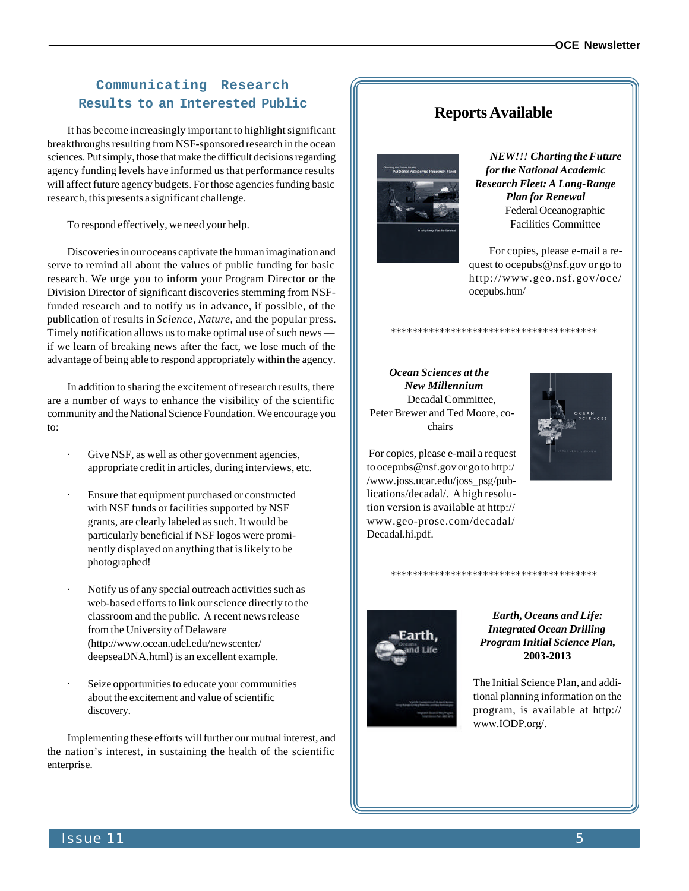### **Communicating Research** Results to an Interested Public **Reports Available**

It has become increasingly important to highlight significant breakthroughs resulting from NSF-sponsored research in the ocean sciences. Put simply, those that make the difficult decisions regarding agency funding levels have informed us that performance results will affect future agency budgets. For those agencies funding basic research, this presents a significant challenge.

To respond effectively, we need your help.

Discoveries in our oceans captivate the human imagination and serve to remind all about the values of public funding for basic research. We urge you to inform your Program Director or the Division Director of significant discoveries stemming from NSFfunded research and to notify us in advance, if possible, of the publication of results in *Science*, *Nature*, and the popular press. Timely notification allows us to make optimal use of such news if we learn of breaking news after the fact, we lose much of the advantage of being able to respond appropriately within the agency.

In addition to sharing the excitement of research results, there are a number of ways to enhance the visibility of the scientific community and the National Science Foundation. We encourage you to:

- Give NSF, as well as other government agencies, appropriate credit in articles, during interviews, etc.
- Ensure that equipment purchased or constructed with NSF funds or facilities supported by NSF grants, are clearly labeled as such. It would be particularly beneficial if NSF logos were prominently displayed on anything that is likely to be photographed!
- · Notify us of any special outreach activities such as web-based efforts to link our science directly to the classroom and the public. A recent news release from the University of Delaware [\(http://www.ocean.udel.edu/newscenter/](http://www.ocean.udel.edu/newscenter/) deepseaDNA.html) is an excellent example.
- Seize opportunities to educate your communities about the excitement and value of scientific discovery.

Implementing these efforts will further our mutual interest, and the nation's interest, in sustaining the health of the scientific enterprise.

\*\*\*\*\*\*\*\*\*\*\*\*\*\*\*\*\*\*\*\*\*\*\*\*\*\*\*\*\*\*\*\*\*\*\*\*\*\*

\*\*\*\*\*\*\*\*\*\*\*\*\*\*\*\*\*\*\*\*\*\*\*\*\*\*\*\*\*\*\*\*\*\*\*\*\*\*



*NEW!!! Charting the Future for the National Academic Research Fleet: A Long-Range Plan for Renewal* Federal Oceanographic Facilities Committee

For copies, please e-mail a request to ocepubs@nsf.gov or go to <http://www.geo.nsf.gov/oce/> ocepubs.htm/

 *Ocean Sciences at the New Millennium* Decadal Committee, Peter Brewer and Ted Moore, cochairs



 For copies, please e-mail a request to ocepubs@nsf.gov or go to http:/ /www.joss.ucar.edu/joss\_psg/publications/decadal/. A high resolution version is available at <http://> www.geo-prose.com/decadal/ Decadal.hi.pdf.



*Earth, Oceans and Life: Integrated Ocean Drilling Program Initial Science Plan,* **2003-2013**

The Initial Science Plan, and additional planning information on the program, is available at <http://> www.IODP.org/.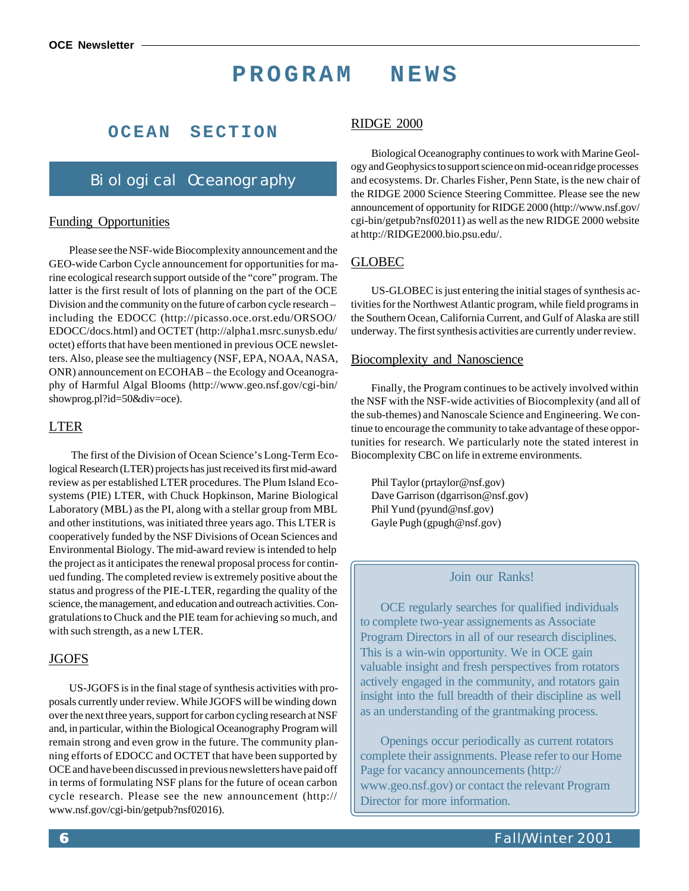### **PROGRAM NEWS**

### **OCEAN SECTION**

### Biological Oceanography

#### Funding Opportunities

Please see the NSF-wide Biocomplexity announcement and the GEO-wide Carbon Cycle announcement for opportunities for marine ecological research support outside of the "core" program. The latter is the first result of lots of planning on the part of the OCE Division and the community on the future of carbon cycle research – including the EDOCC [\(http://picasso.oce.orst.edu/ORSOO/](http://picasso.oce.orst.edu/ORSOO/) EDOCC/docs.html) and OCTET [\(http://alpha1.msrc.sunysb.edu/](http://alpha1.msrc.sunysb.edu/) octet) efforts that have been mentioned in previous OCE newsletters. Also, please see the multiagency (NSF, EPA, NOAA, NASA, ONR) announcement on ECOHAB – the Ecology and Oceanography of Harmful Algal Blooms [\(http://www.geo.nsf.gov/cgi-bin/](http://www.geo.nsf.gov/cgi-bin/) showprog.pl?id=50&div=oce).

#### LTER

 The first of the Division of Ocean Science's Long-Term Ecological Research (LTER) projects has just received its first mid-award review as per established LTER procedures. The Plum Island Ecosystems (PIE) LTER, with Chuck Hopkinson, Marine Biological Laboratory (MBL) as the PI, along with a stellar group from MBL and other institutions, was initiated three years ago. This LTER is cooperatively funded by the NSF Divisions of Ocean Sciences and Environmental Biology. The mid-award review is intended to help the project as it anticipates the renewal proposal process for continued funding. The completed review is extremely positive about the status and progress of the PIE-LTER, regarding the quality of the science, the management, and education and outreach activities. Congratulations to Chuck and the PIE team for achieving so much, and with such strength, as a new LTER.

#### JGOFS

US-JGOFS is in the final stage of synthesis activities with proposals currently under review. While JGOFS will be winding down over the next three years, support for carbon cycling research at NSF and, in particular, within the Biological Oceanography Program will remain strong and even grow in the future. The community planning efforts of EDOCC and OCTET that have been supported by OCE and have been discussed in previous newsletters have paid off in terms of formulating NSF plans for the future of ocean carbon cycle research. Please see the new announcement [\(http://](http://) www.nsf.gov/cgi-bin/getpub?nsf02016).

#### RIDGE 2000

Biological Oceanography continues to work with Marine Geology and Geophysics to support science on mid-ocean ridge processes and ecosystems. Dr. Charles Fisher, Penn State, is the new chair of the RIDGE 2000 Science Steering Committee. Please see the new announcement of opportunity for RIDGE 2000 [\(http://www.nsf.gov/](http://www.nsf.gov/) cgi-bin/getpub?nsf02011) as well as the new RIDGE 2000 website at [http://RIDGE2000.bio.psu.edu/.](http://RIDGE2000.bio.psu.edu/)

#### GLOBEC

US-GLOBEC is just entering the initial stages of synthesis activities for the Northwest Atlantic program, while field programs in the Southern Ocean, California Current, and Gulf of Alaska are still underway. The first synthesis activities are currently under review.

#### Biocomplexity and Nanoscience

Finally, the Program continues to be actively involved within the NSF with the NSF-wide activities of Biocomplexity (and all of the sub-themes) and Nanoscale Science and Engineering. We continue to encourage the community to take advantage of these opportunities for research. We particularly note the stated interest in Biocomplexity CBC on life in extreme environments.

Phil Taylor (prtaylor@nsf.gov) Dave Garrison (dgarrison@nsf.gov) Phil Yund (pyund@nsf.gov) Gayle Pugh (gpugh@nsf.gov)

#### Join our Ranks!

OCE regularly searches for qualified individuals to complete two-year assignements as Associate Program Directors in all of our research disciplines. This is a win-win opportunity. We in OCE gain valuable insight and fresh perspectives from rotators actively engaged in the community, and rotators gain insight into the full breadth of their discipline as well as an understanding of the grantmaking process.

Openings occur periodically as current rotators complete their assignments. Please refer to our Home Page for vacancy announcements [\(http://](http://) www.geo.nsf.gov) or contact the relevant Program Director for more information.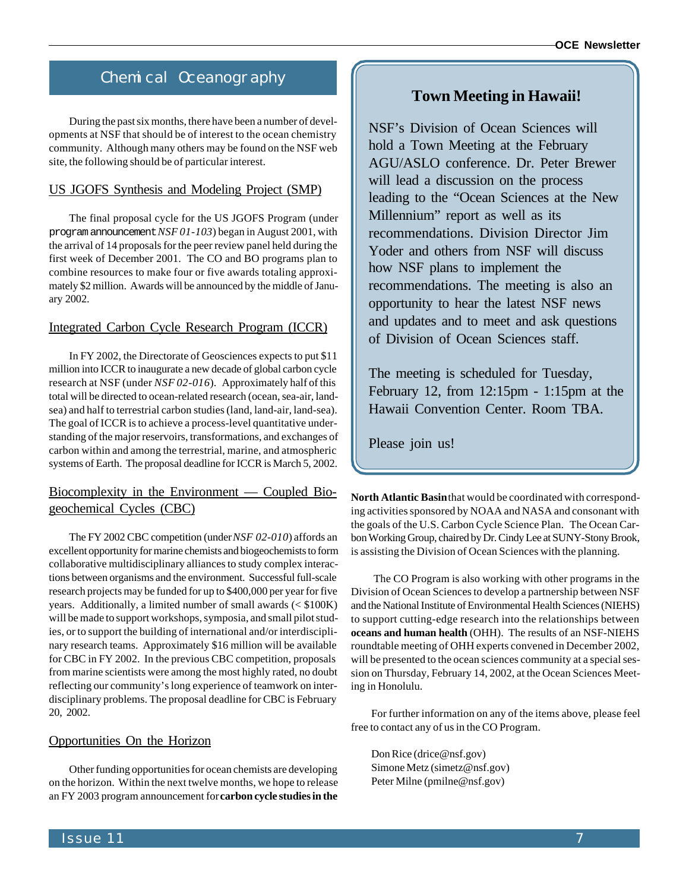### Chemical Oceanography

During the past six months, there have been a number of developments at NSF that should be of interest to the ocean chemistry community. Although many others may be found on the NSF web site, the following should be of particular interest.

#### US JGOFS Synthesis and Modeling Project (SMP)

The final proposal cycle for the US JGOFS Program (under program announcement *NSF 01-103*) began in August 2001, with the arrival of 14 proposals for the peer review panel held during the first week of December 2001. The CO and BO programs plan to combine resources to make four or five awards totaling approximately \$2 million. Awards will be announced by the middle of January 2002.

#### Integrated Carbon Cycle Research Program (ICCR)

In FY 2002, the Directorate of Geosciences expects to put \$11 million into ICCR to inaugurate a new decade of global carbon cycle research at NSF (under *NSF 02-016*). Approximately half of this total will be directed to ocean-related research (ocean, sea-air, landsea) and half to terrestrial carbon studies (land, land-air, land-sea). The goal of ICCR is to achieve a process-level quantitative understanding of the major reservoirs, transformations, and exchanges of carbon within and among the terrestrial, marine, and atmospheric systems of Earth. The proposal deadline for ICCR is March 5, 2002.

#### Biocomplexity in the Environment — Coupled Biogeochemical Cycles (CBC)

The FY 2002 CBC competition (under *NSF 02-010*) affords an excellent opportunity for marine chemists and biogeochemists to form collaborative multidisciplinary alliances to study complex interactions between organisms and the environment. Successful full-scale research projects may be funded for up to \$400,000 per year for five years. Additionally, a limited number of small awards (< \$100K) will be made to support workshops, symposia, and small pilot studies, or to support the building of international and/or interdisciplinary research teams. Approximately \$16 million will be available for CBC in FY 2002. In the previous CBC competition, proposals from marine scientists were among the most highly rated, no doubt reflecting our community's long experience of teamwork on interdisciplinary problems. The proposal deadline for CBC is February 20, 2002.

#### Opportunities On the Horizon

Other funding opportunities for ocean chemists are developing on the horizon. Within the next twelve months, we hope to release an FY 2003 program announcement for **carbon cycle studies in the**

### **Town Meeting in Hawaii!**

NSF's Division of Ocean Sciences will hold a Town Meeting at the February AGU/ASLO conference. Dr. Peter Brewer will lead a discussion on the process leading to the "Ocean Sciences at the New Millennium" report as well as its recommendations. Division Director Jim Yoder and others from NSF will discuss how NSF plans to implement the recommendations. The meeting is also an opportunity to hear the latest NSF news and updates and to meet and ask questions of Division of Ocean Sciences staff.

The meeting is scheduled for Tuesday, February 12, from 12:15pm - 1:15pm at the Hawaii Convention Center. Room TBA.

Please join us!

**North Atlantic Basin** that would be coordinated with corresponding activities sponsored by NOAA and NASA and consonant with the goals of the U.S. Carbon Cycle Science Plan. The Ocean Carbon Working Group, chaired by Dr. Cindy Lee at SUNY-Stony Brook, is assisting the Division of Ocean Sciences with the planning.

 The CO Program is also working with other programs in the Division of Ocean Sciences to develop a partnership between NSF and the National Institute of Environmental Health Sciences (NIEHS) to support cutting-edge research into the relationships between **oceans and human health** (OHH). The results of an NSF-NIEHS roundtable meeting of OHH experts convened in December 2002, will be presented to the ocean sciences community at a special session on Thursday, February 14, 2002, at the Ocean Sciences Meeting in Honolulu.

For further information on any of the items above, please feel free to contact any of us in the CO Program.

Don Rice (drice@nsf.gov) Simone Metz (simetz@nsf.gov) Peter Milne (pmilne@nsf.gov)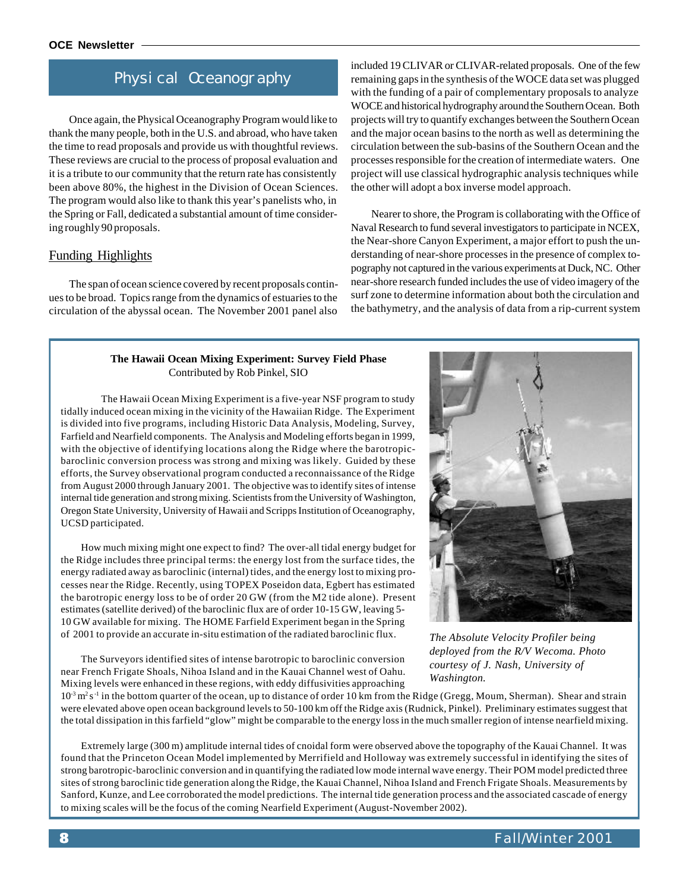### Physical Oceanography

Once again, the Physical Oceanography Program would like to thank the many people, both in the U.S. and abroad, who have taken the time to read proposals and provide us with thoughtful reviews. These reviews are crucial to the process of proposal evaluation and it is a tribute to our community that the return rate has consistently been above 80%, the highest in the Division of Ocean Sciences. The program would also like to thank this year's panelists who, in the Spring or Fall, dedicated a substantial amount of time considering roughly 90 proposals.

#### Funding Highlights

The span of ocean science covered by recent proposals continues to be broad. Topics range from the dynamics of estuaries to the circulation of the abyssal ocean. The November 2001 panel also included 19 CLIVAR or CLIVAR-related proposals. One of the few remaining gaps in the synthesis of the WOCE data set was plugged with the funding of a pair of complementary proposals to analyze WOCE and historical hydrography around the Southern Ocean. Both projects will try to quantify exchanges between the Southern Ocean and the major ocean basins to the north as well as determining the circulation between the sub-basins of the Southern Ocean and the processes responsible for the creation of intermediate waters. One project will use classical hydrographic analysis techniques while the other will adopt a box inverse model approach.

Nearer to shore, the Program is collaborating with the Office of Naval Research to fund several investigators to participate in NCEX, the Near-shore Canyon Experiment, a major effort to push the understanding of near-shore processes in the presence of complex topography not captured in the various experiments at Duck, NC. Other near-shore research funded includes the use of video imagery of the surf zone to determine information about both the circulation and the bathymetry, and the analysis of data from a rip-current system

#### **The Hawaii Ocean Mixing Experiment: Survey Field Phase** Contributed by Rob Pinkel, SIO

The Hawaii Ocean Mixing Experiment is a five-year NSF program to study tidally induced ocean mixing in the vicinity of the Hawaiian Ridge. The Experiment is divided into five programs, including Historic Data Analysis, Modeling, Survey, Farfield and Nearfield components. The Analysis and Modeling efforts began in 1999, with the objective of identifying locations along the Ridge where the barotropicbaroclinic conversion process was strong and mixing was likely. Guided by these efforts, the Survey observational program conducted a reconnaissance of the Ridge from August 2000 through January 2001. The objective was to identify sites of intense internal tide generation and strong mixing. Scientists from the University of Washington, Oregon State University, University of Hawaii and Scripps Institution of Oceanography, UCSD participated.

How much mixing might one expect to find? The over-all tidal energy budget for the Ridge includes three principal terms: the energy lost from the surface tides, the energy radiated away as baroclinic (internal) tides, and the energy lost to mixing processes near the Ridge. Recently, using TOPEX Poseidon data, Egbert has estimated the barotropic energy loss to be of order 20 GW (from the M2 tide alone). Present estimates (satellite derived) of the baroclinic flux are of order 10-15 GW, leaving 5- 10 GW available for mixing. The HOME Farfield Experiment began in the Spring of 2001 to provide an accurate in-situ estimation of the radiated baroclinic flux.

The Surveyors identified sites of intense barotropic to baroclinic conversion near French Frigate Shoals, Nihoa Island and in the Kauai Channel west of Oahu. Mixing levels were enhanced in these regions, with eddy diffusivities approaching



*The Absolute Velocity Profiler being deployed from the R/V Wecoma. Photo courtesy of J. Nash, University of Washington.*

 $10^{-3}$  m<sup>2</sup> s<sup>-1</sup> in the bottom quarter of the ocean, up to distance of order 10 km from the Ridge (Gregg, Moum, Sherman). Shear and strain were elevated above open ocean background levels to 50-100 km off the Ridge axis (Rudnick, Pinkel). Preliminary estimates suggest that the total dissipation in this farfield "glow" might be comparable to the energy loss in the much smaller region of intense nearfield mixing.

Extremely large (300 m) amplitude internal tides of cnoidal form were observed above the topography of the Kauai Channel. It was found that the Princeton Ocean Model implemented by Merrifield and Holloway was extremely successful in identifying the sites of strong barotropic-baroclinic conversion and in quantifying the radiated low mode internal wave energy. Their POM model predicted three sites of strong baroclinic tide generation along the Ridge, the Kauai Channel, Nihoa Island and French Frigate Shoals. Measurements by Sanford, Kunze, and Lee corroborated the model predictions. The internal tide generation process and the associated cascade of energy to mixing scales will be the focus of the coming Nearfield Experiment (August-November 2002).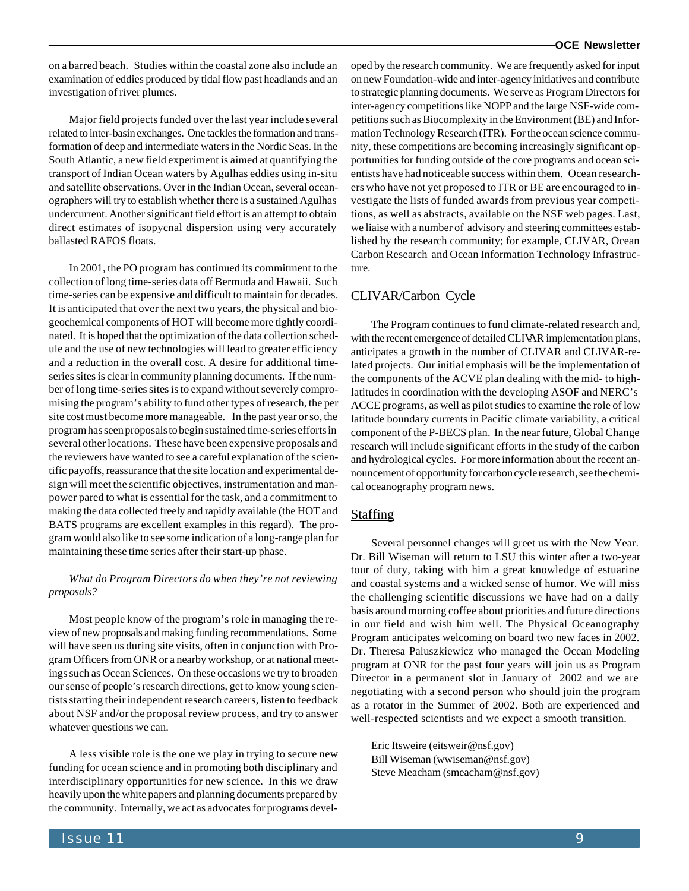on a barred beach. Studies within the coastal zone also include an examination of eddies produced by tidal flow past headlands and an investigation of river plumes.

Major field projects funded over the last year include several related to inter-basin exchanges. One tackles the formation and transformation of deep and intermediate waters in the Nordic Seas. In the South Atlantic, a new field experiment is aimed at quantifying the transport of Indian Ocean waters by Agulhas eddies using in-situ and satellite observations. Over in the Indian Ocean, several oceanographers will try to establish whether there is a sustained Agulhas undercurrent. Another significant field effort is an attempt to obtain direct estimates of isopycnal dispersion using very accurately ballasted RAFOS floats.

In 2001, the PO program has continued its commitment to the collection of long time-series data off Bermuda and Hawaii. Such time-series can be expensive and difficult to maintain for decades. It is anticipated that over the next two years, the physical and biogeochemical components of HOT will become more tightly coordinated. It is hoped that the optimization of the data collection schedule and the use of new technologies will lead to greater efficiency and a reduction in the overall cost. A desire for additional timeseries sites is clear in community planning documents. If the number of long time-series sites is to expand without severely compromising the program's ability to fund other types of research, the per site cost must become more manageable. In the past year or so, the program has seen proposals to begin sustained time-series efforts in several other locations. These have been expensive proposals and the reviewers have wanted to see a careful explanation of the scientific payoffs, reassurance that the site location and experimental design will meet the scientific objectives, instrumentation and manpower pared to what is essential for the task, and a commitment to making the data collected freely and rapidly available (the HOT and BATS programs are excellent examples in this regard). The program would also like to see some indication of a long-range plan for maintaining these time series after their start-up phase.

#### *What do Program Directors do when they're not reviewing proposals?*

Most people know of the program's role in managing the review of new proposals and making funding recommendations. Some will have seen us during site visits, often in conjunction with Program Officers from ONR or a nearby workshop, or at national meetings such as Ocean Sciences. On these occasions we try to broaden our sense of people's research directions, get to know young scientists starting their independent research careers, listen to feedback about NSF and/or the proposal review process, and try to answer whatever questions we can.

A less visible role is the one we play in trying to secure new funding for ocean science and in promoting both disciplinary and interdisciplinary opportunities for new science. In this we draw heavily upon the white papers and planning documents prepared by the community. Internally, we act as advocates for programs developed by the research community. We are frequently asked for input on new Foundation-wide and inter-agency initiatives and contribute to strategic planning documents. We serve as Program Directors for inter-agency competitions like NOPP and the large NSF-wide competitions such as Biocomplexity in the Environment (BE) and Information Technology Research (ITR). For the ocean science community, these competitions are becoming increasingly significant opportunities for funding outside of the core programs and ocean scientists have had noticeable success within them. Ocean researchers who have not yet proposed to ITR or BE are encouraged to investigate the lists of funded awards from previous year competitions, as well as abstracts, available on the NSF web pages. Last, we liaise with a number of advisory and steering committees established by the research community; for example, CLIVAR, Ocean Carbon Research and Ocean Information Technology Infrastructure.

#### CLIVAR/Carbon Cycle

The Program continues to fund climate-related research and, with the recent emergence of detailed CLIVAR implementation plans, anticipates a growth in the number of CLIVAR and CLIVAR-related projects. Our initial emphasis will be the implementation of the components of the ACVE plan dealing with the mid- to highlatitudes in coordination with the developing ASOF and NERC's ACCE programs, as well as pilot studies to examine the role of low latitude boundary currents in Pacific climate variability, a critical component of the P-BECS plan. In the near future, Global Change research will include significant efforts in the study of the carbon and hydrological cycles. For more information about the recent announcement of opportunity for carbon cycle research, see the chemical oceanography program news.

#### **Staffing**

Several personnel changes will greet us with the New Year. Dr. Bill Wiseman will return to LSU this winter after a two-year tour of duty, taking with him a great knowledge of estuarine and coastal systems and a wicked sense of humor. We will miss the challenging scientific discussions we have had on a daily basis around morning coffee about priorities and future directions in our field and wish him well. The Physical Oceanography Program anticipates welcoming on board two new faces in 2002. Dr. Theresa Paluszkiewicz who managed the Ocean Modeling program at ONR for the past four years will join us as Program Director in a permanent slot in January of 2002 and we are negotiating with a second person who should join the program as a rotator in the Summer of 2002. Both are experienced and well-respected scientists and we expect a smooth transition.

Eric Itsweire (eitsweir@nsf.gov) Bill Wiseman (wwiseman@nsf.gov) Steve Meacham (smeacham@nsf.gov)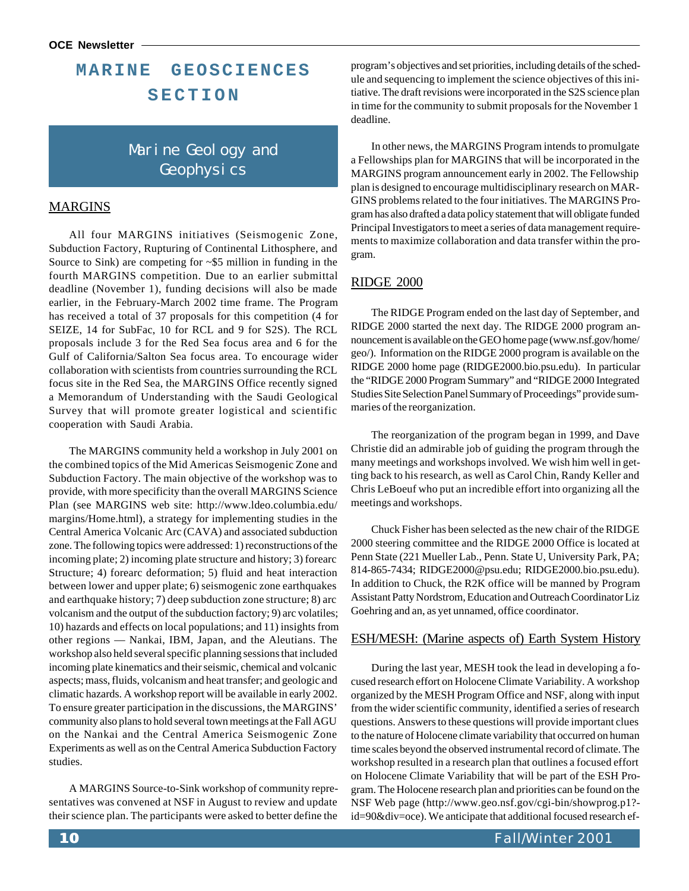### **MARINE GEOSCIENCES SECTION**

### Marine Geology and Geophysi<sub>cs</sub>

#### MARGINS

All four MARGINS initiatives (Seismogenic Zone, Subduction Factory, Rupturing of Continental Lithosphere, and Source to Sink) are competing for ~\$5 million in funding in the fourth MARGINS competition. Due to an earlier submittal deadline (November 1), funding decisions will also be made earlier, in the February-March 2002 time frame. The Program has received a total of 37 proposals for this competition (4 for SEIZE, 14 for SubFac, 10 for RCL and 9 for S2S). The RCL proposals include 3 for the Red Sea focus area and 6 for the Gulf of California/Salton Sea focus area. To encourage wider collaboration with scientists from countries surrounding the RCL focus site in the Red Sea, the MARGINS Office recently signed a Memorandum of Understanding with the Saudi Geological Survey that will promote greater logistical and scientific cooperation with Saudi Arabia.

The MARGINS community held a workshop in July 2001 on the combined topics of the Mid Americas Seismogenic Zone and Subduction Factory. The main objective of the workshop was to provide, with more specificity than the overall MARGINS Science Plan (see MARGINS web site: <http://www.ldeo.columbia.edu/> margins/Home.html), a strategy for implementing studies in the Central America Volcanic Arc (CAVA) and associated subduction zone. The following topics were addressed: 1) reconstructions of the incoming plate; 2) incoming plate structure and history; 3) forearc Structure; 4) forearc deformation; 5) fluid and heat interaction between lower and upper plate; 6) seismogenic zone earthquakes and earthquake history; 7) deep subduction zone structure; 8) arc volcanism and the output of the subduction factory; 9) arc volatiles; 10) hazards and effects on local populations; and 11) insights from other regions — Nankai, IBM, Japan, and the Aleutians. The workshop also held several specific planning sessions that included incoming plate kinematics and their seismic, chemical and volcanic aspects; mass, fluids, volcanism and heat transfer; and geologic and climatic hazards. A workshop report will be available in early 2002. To ensure greater participation in the discussions, the MARGINS' community also plans to hold several town meetings at the Fall AGU on the Nankai and the Central America Seismogenic Zone Experiments as well as on the Central America Subduction Factory studies.

A MARGINS Source-to-Sink workshop of community representatives was convened at NSF in August to review and update their science plan. The participants were asked to better define the program's objectives and set priorities, including details of the schedule and sequencing to implement the science objectives of this initiative. The draft revisions were incorporated in the S2S science plan in time for the community to submit proposals for the November 1 deadline.

In other news, the MARGINS Program intends to promulgate a Fellowships plan for MARGINS that will be incorporated in the MARGINS program announcement early in 2002. The Fellowship plan is designed to encourage multidisciplinary research on MAR-GINS problems related to the four initiatives. The MARGINS Program has also drafted a data policy statement that will obligate funded Principal Investigators to meet a series of data management requirements to maximize collaboration and data transfer within the program.

#### RIDGE 2000

The RIDGE Program ended on the last day of September, and RIDGE 2000 started the next day. The RIDGE 2000 program announcement is available on the GEO home page (www.nsf.gov/home/ geo/). Information on the RIDGE 2000 program is available on the RIDGE 2000 home page (RIDGE2000.bio.psu.edu). In particular the "RIDGE 2000 Program Summary" and "RIDGE 2000 Integrated Studies Site Selection Panel Summary of Proceedings" provide summaries of the reorganization.

The reorganization of the program began in 1999, and Dave Christie did an admirable job of guiding the program through the many meetings and workshops involved. We wish him well in getting back to his research, as well as Carol Chin, Randy Keller and Chris LeBoeuf who put an incredible effort into organizing all the meetings and workshops.

Chuck Fisher has been selected as the new chair of the RIDGE 2000 steering committee and the RIDGE 2000 Office is located at Penn State (221 Mueller Lab., Penn. State U, University Park, PA; 814-865-7434; RIDGE2000@psu.edu; RIDGE2000.bio.psu.edu). In addition to Chuck, the R2K office will be manned by Program Assistant Patty Nordstrom, Education and Outreach Coordinator Liz Goehring and an, as yet unnamed, office coordinator.

#### ESH/MESH: (Marine aspects of) Earth System History

During the last year, MESH took the lead in developing a focused research effort on Holocene Climate Variability. A workshop organized by the MESH Program Office and NSF, along with input from the wider scientific community, identified a series of research questions. Answers to these questions will provide important clues to the nature of Holocene climate variability that occurred on human time scales beyond the observed instrumental record of climate. The workshop resulted in a research plan that outlines a focused effort on Holocene Climate Variability that will be part of the ESH Program. The Holocene research plan and priorities can be found on the [NSF Web page \(http://www.geo.nsf.gov/cgi-bin/showprog.p1?](http://www.geo.nsf.gov/cgi-bin/showprog.p1?-id=90&div=oce) id=90&div=oce). We anticipate that additional focused research ef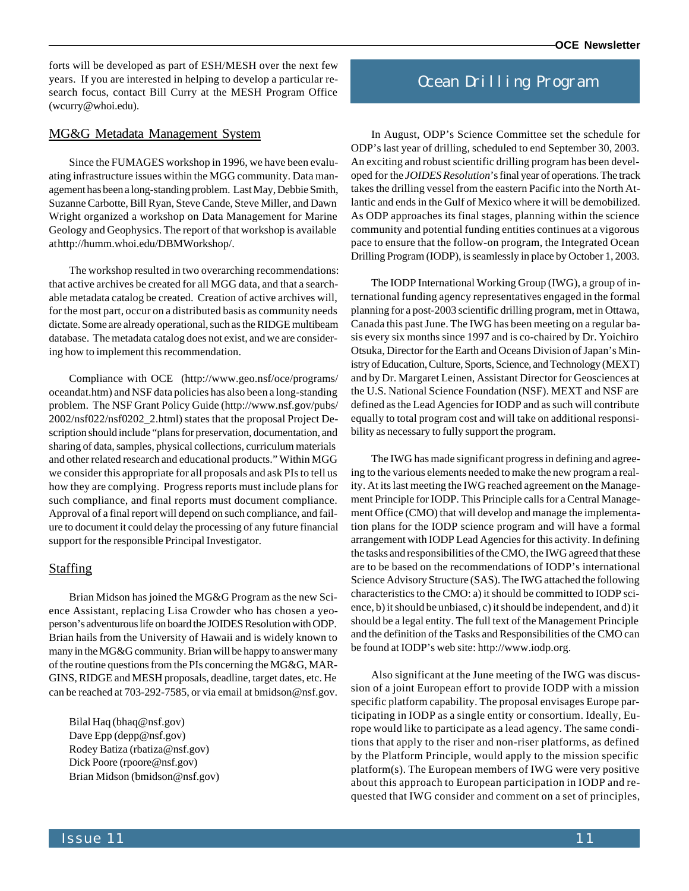forts will be developed as part of ESH/MESH over the next few years. If you are interested in helping to develop a particular research focus, contact Bill Curry at the MESH Program Office (wcurry@whoi.edu).

#### MG&G Metadata Management System

Since the FUMAGES workshop in 1996, we have been evaluating infrastructure issues within the MGG community. Data management has been a long-standing problem. Last May, Debbie Smith, Suzanne Carbotte, Bill Ryan, Steve Cande, Steve Miller, and Dawn Wright organized a workshop on Data Management for Marine Geology and Geophysics. The report of that workshop is available at [http://humm.whoi.edu/DBMWorkshop/.](http://humm.whoi.edu/DBMWorkshop/)

The workshop resulted in two overarching recommendations: that active archives be created for all MGG data, and that a searchable metadata catalog be created. Creation of active archives will, for the most part, occur on a distributed basis as community needs dictate. Some are already operational, such as the RIDGE multibeam database. The metadata catalog does not exist, and we are considering how to implement this recommendation.

Compliance with OCE [\(http://www.geo.nsf/oce/programs/](http://www.geo.nsf/oce/programs/) oceandat.htm) and NSF data policies has also been a long-standing problem. The NSF Grant Policy Guide [\(http://www.nsf.gov/pubs/](http://www.nsf.gov/pubs/) 2002/nsf022/nsf0202\_2.html) states that the proposal Project Description should include "plans for preservation, documentation, and sharing of data, samples, physical collections, curriculum materials and other related research and educational products." Within MGG we consider this appropriate for all proposals and ask PIs to tell us how they are complying. Progress reports must include plans for such compliance, and final reports must document compliance. Approval of a final report will depend on such compliance, and failure to document it could delay the processing of any future financial support for the responsible Principal Investigator.

#### **Staffing**

Brian Midson has joined the MG&G Program as the new Science Assistant, replacing Lisa Crowder who has chosen a yeoperson's adventurous life on board the JOIDES Resolution with ODP. Brian hails from the University of Hawaii and is widely known to many in the MG&G community. Brian will be happy to answer many of the routine questions from the PIs concerning the MG&G, MAR-GINS, RIDGE and MESH proposals, deadline, target dates, etc. He can be reached at 703-292-7585, or via email at bmidson@nsf.gov.

Bilal Haq (bhaq@nsf.gov) Dave Epp (depp@nsf.gov) Rodey Batiza (rbatiza@nsf.gov) Dick Poore (rpoore@nsf.gov) Brian Midson (bmidson@nsf.gov)

### Ocean Drilling Program

In August, ODP's Science Committee set the schedule for ODP's last year of drilling, scheduled to end September 30, 2003. An exciting and robust scientific drilling program has been developed for the *JOIDES Resolution*'s final year of operations. The track takes the drilling vessel from the eastern Pacific into the North Atlantic and ends in the Gulf of Mexico where it will be demobilized. As ODP approaches its final stages, planning within the science community and potential funding entities continues at a vigorous pace to ensure that the follow-on program, the Integrated Ocean Drilling Program (IODP), is seamlessly in place by October 1, 2003.

The IODP International Working Group (IWG), a group of international funding agency representatives engaged in the formal planning for a post-2003 scientific drilling program, met in Ottawa, Canada this past June. The IWG has been meeting on a regular basis every six months since 1997 and is co-chaired by Dr. Yoichiro Otsuka, Director for the Earth and Oceans Division of Japan's Ministry of Education, Culture, Sports, Science, and Technology (MEXT) and by Dr. Margaret Leinen, Assistant Director for Geosciences at the U.S. National Science Foundation (NSF). MEXT and NSF are defined as the Lead Agencies for IODP and as such will contribute equally to total program cost and will take on additional responsibility as necessary to fully support the program.

The IWG has made significant progress in defining and agreeing to the various elements needed to make the new program a reality. At its last meeting the IWG reached agreement on the Management Principle for IODP. This Principle calls for a Central Management Office (CMO) that will develop and manage the implementation plans for the IODP science program and will have a formal arrangement with IODP Lead Agencies for this activity. In defining the tasks and responsibilities of the CMO, the IWG agreed that these are to be based on the recommendations of IODP's international Science Advisory Structure (SAS). The IWG attached the following characteristics to the CMO: a) it should be committed to IODP science, b) it should be unbiased, c) it should be independent, and d) it should be a legal entity. The full text of the Management Principle and the definition of the Tasks and Responsibilities of the CMO can be found at IODP's web site: [http://www.iodp.org.](http://www.iodp.org)

Also significant at the June meeting of the IWG was discussion of a joint European effort to provide IODP with a mission specific platform capability. The proposal envisages Europe participating in IODP as a single entity or consortium. Ideally, Europe would like to participate as a lead agency. The same conditions that apply to the riser and non-riser platforms, as defined by the Platform Principle, would apply to the mission specific platform(s). The European members of IWG were very positive about this approach to European participation in IODP and requested that IWG consider and comment on a set of principles,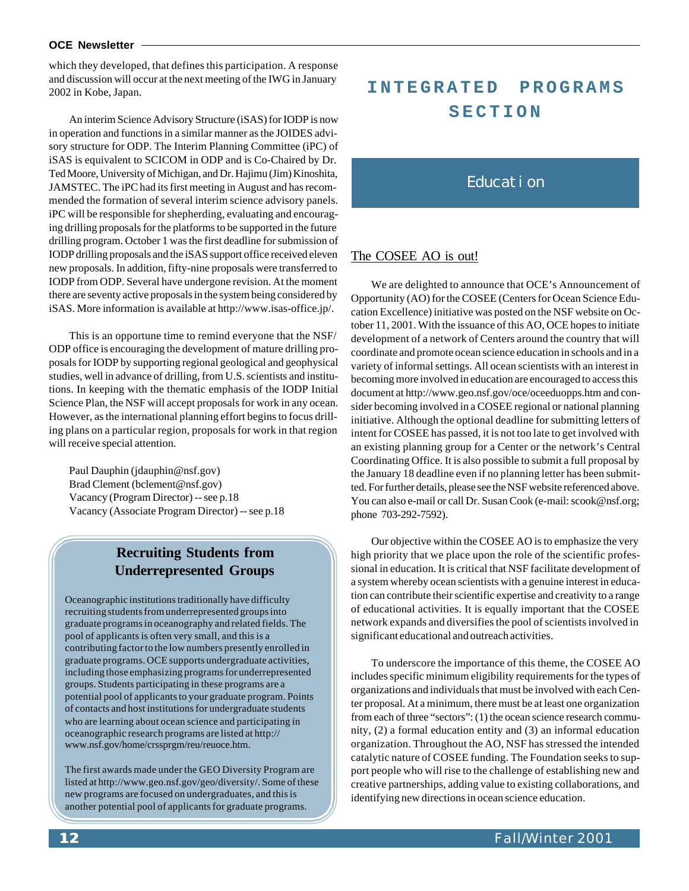#### **OCE Newsletter**

which they developed, that defines this participation. A response and discussion will occur at the next meeting of the IWG in January 2002 in Kobe, Japan.

An interim Science Advisory Structure (iSAS) for IODP is now in operation and functions in a similar manner as the JOIDES advisory structure for ODP. The Interim Planning Committee (iPC) of iSAS is equivalent to SCICOM in ODP and is Co-Chaired by Dr. Ted Moore, University of Michigan, and Dr. Hajimu (Jim) Kinoshita, JAMSTEC. The iPC had its first meeting in August and has recommended the formation of several interim science advisory panels. iPC will be responsible for shepherding, evaluating and encouraging drilling proposals for the platforms to be supported in the future drilling program. October 1 was the first deadline for submission of IODP drilling proposals and the iSAS support office received eleven new proposals. In addition, fifty-nine proposals were transferred to IODP from ODP. Several have undergone revision. At the moment there are seventy active proposals in the system being considered by iSAS. More information is available at [http://www.isas-office.jp/.](http://www.isas-office.jp/)

This is an opportune time to remind everyone that the NSF/ ODP office is encouraging the development of mature drilling proposals for IODP by supporting regional geological and geophysical studies, well in advance of drilling, from U.S. scientists and institutions. In keeping with the thematic emphasis of the IODP Initial Science Plan, the NSF will accept proposals for work in any ocean. However, as the international planning effort begins to focus drilling plans on a particular region, proposals for work in that region will receive special attention.

Paul Dauphin (jdauphin@nsf.gov) Brad Clement (bclement@nsf.gov) Vacancy (Program Director) -- see p.18 Vacancy (Associate Program Director) -- see p.18

### **Recruiting Students from Underrepresented Groups**

Oceanographic institutions traditionally have difficulty recruiting students from underrepresented groups into graduate programs in oceanography and related fields. The pool of applicants is often very small, and this is a contributing factor to the low numbers presently enrolled in graduate programs. OCE supports undergraduate activities, including those emphasizing programs for underrepresented groups. Students participating in these programs are a potential pool of applicants to your graduate program. Points of contacts and host institutions for undergraduate students who are learning about ocean science and participating in oceanographic research programs are listed at<http://> www.nsf.gov/home/crssprgm/reu/reuoce.htm.

The first awards made under the GEO Diversity Program are listed at [http://www.geo.nsf.gov/geo/diversity/.](http://www.geo.nsf.gov/geo/diversity/) Some of these new programs are focused on undergraduates, and this is another potential pool of applicants for graduate programs.

## **INTEGRATED PROGRAMS SECTION**

### Education

#### The COSEE AO is out!

We are delighted to announce that OCE's Announcement of Opportunity (AO) for the COSEE (Centers for Ocean Science Education Excellence) initiative was posted on the NSF website on October 11, 2001. With the issuance of this AO, OCE hopes to initiate development of a network of Centers around the country that will coordinate and promote ocean science education in schools and in a variety of informal settings. All ocean scientists with an interest in becoming more involved in education are encouraged to access this document at<http://www.geo.nsf.gov/oce/oceeduopps.htm>and consider becoming involved in a COSEE regional or national planning initiative. Although the optional deadline for submitting letters of intent for COSEE has passed, it is not too late to get involved with an existing planning group for a Center or the network's Central Coordinating Office. It is also possible to submit a full proposal by the January 18 deadline even if no planning letter has been submitted. For further details, please see the NSF website referenced above. You can also e-mail or call Dr. Susan Cook (e-mail: scook@nsf.org; phone 703-292-7592).

Our objective within the COSEE AO is to emphasize the very high priority that we place upon the role of the scientific professional in education. It is critical that NSF facilitate development of a system whereby ocean scientists with a genuine interest in education can contribute their scientific expertise and creativity to a range of educational activities. It is equally important that the COSEE network expands and diversifies the pool of scientists involved in significant educational and outreach activities.

To underscore the importance of this theme, the COSEE AO includes specific minimum eligibility requirements for the types of organizations and individuals that must be involved with each Center proposal. At a minimum, there must be at least one organization from each of three "sectors": (1) the ocean science research community, (2) a formal education entity and (3) an informal education organization. Throughout the AO, NSF has stressed the intended catalytic nature of COSEE funding. The Foundation seeks to support people who will rise to the challenge of establishing new and creative partnerships, adding value to existing collaborations, and identifying new directions in ocean science education.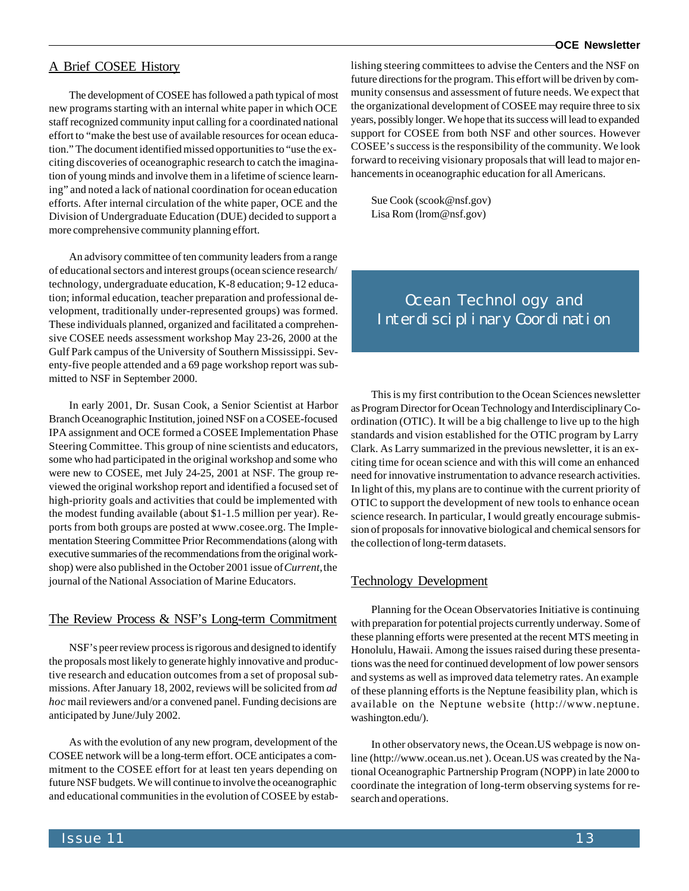#### **OCE Newsletter**

#### A Brief COSEE History

The development of COSEE has followed a path typical of most new programs starting with an internal white paper in which OCE staff recognized community input calling for a coordinated national effort to "make the best use of available resources for ocean education." The document identified missed opportunities to "use the exciting discoveries of oceanographic research to catch the imagination of young minds and involve them in a lifetime of science learning" and noted a lack of national coordination for ocean education efforts. After internal circulation of the white paper, OCE and the Division of Undergraduate Education (DUE) decided to support a more comprehensive community planning effort.

An advisory committee of ten community leaders from a range of educational sectors and interest groups (ocean science research/ technology, undergraduate education, K-8 education; 9-12 education; informal education, teacher preparation and professional development, traditionally under-represented groups) was formed. These individuals planned, organized and facilitated a comprehensive COSEE needs assessment workshop May 23-26, 2000 at the Gulf Park campus of the University of Southern Mississippi. Seventy-five people attended and a 69 page workshop report was submitted to NSF in September 2000.

In early 2001, Dr. Susan Cook, a Senior Scientist at Harbor Branch Oceanographic Institution, joined NSF on a COSEE-focused IPA assignment and OCE formed a COSEE Implementation Phase Steering Committee. This group of nine scientists and educators, some who had participated in the original workshop and some who were new to COSEE, met July 24-25, 2001 at NSF. The group reviewed the original workshop report and identified a focused set of high-priority goals and activities that could be implemented with the modest funding available (about \$1-1.5 million per year). Reports from both groups are posted at www.cosee.org. The Implementation Steering Committee Prior Recommendations (along with executive summaries of the recommendations from the original workshop) were also published in the October 2001 issue of *Current*, the journal of the National Association of Marine Educators.

#### The Review Process & NSF's Long-term Commitment

NSF's peer review process is rigorous and designed to identify the proposals most likely to generate highly innovative and productive research and education outcomes from a set of proposal submissions. After January 18, 2002, reviews will be solicited from *ad hoc* mail reviewers and/or a convened panel. Funding decisions are anticipated by June/July 2002.

As with the evolution of any new program, development of the COSEE network will be a long-term effort. OCE anticipates a commitment to the COSEE effort for at least ten years depending on future NSF budgets. We will continue to involve the oceanographic and educational communities in the evolution of COSEE by establishing steering committees to advise the Centers and the NSF on future directions for the program. This effort will be driven by community consensus and assessment of future needs. We expect that the organizational development of COSEE may require three to six years, possibly longer. We hope that its success will lead to expanded support for COSEE from both NSF and other sources. However COSEE's success is the responsibility of the community. We look forward to receiving visionary proposals that will lead to major enhancements in oceanographic education for all Americans.

Sue Cook (scook@nsf.gov) Lisa Rom (lrom@nsf.gov)

### **Ocean Technology and** Interdisciplinary Coordination

This is my first contribution to the Ocean Sciences newsletter as Program Director for Ocean Technology and Interdisciplinary Coordination (OTIC). It will be a big challenge to live up to the high standards and vision established for the OTIC program by Larry Clark. As Larry summarized in the previous newsletter, it is an exciting time for ocean science and with this will come an enhanced need for innovative instrumentation to advance research activities. In light of this, my plans are to continue with the current priority of OTIC to support the development of new tools to enhance ocean science research. In particular, I would greatly encourage submission of proposals for innovative biological and chemical sensors for the collection of long-term datasets.

#### Technology Development

Planning for the Ocean Observatories Initiative is continuing with preparation for potential projects currently underway. Some of these planning efforts were presented at the recent MTS meeting in Honolulu, Hawaii. Among the issues raised during these presentations was the need for continued development of low power sensors and systems as well as improved data telemetry rates. An example of these planning efforts is the Neptune feasibility plan, which is available on the Neptune website [\(http://www.neptune.](http://www.neptune) washington.edu/).

In other observatory news, the Ocean.US webpage is now online [\(http://www.ocean.us.net](http://www.ocean.us.net) ). Ocean.US was created by the National Oceanographic Partnership Program (NOPP) in late 2000 to coordinate the integration of long-term observing systems for research and operations.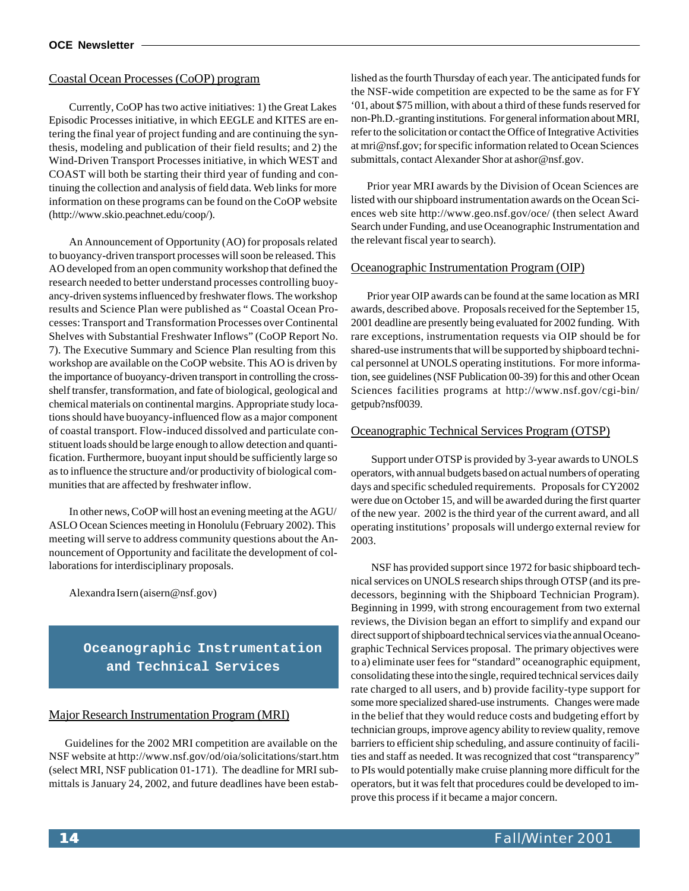#### Coastal Ocean Processes (CoOP) program

Currently, CoOP has two active initiatives: 1) the Great Lakes Episodic Processes initiative, in which EEGLE and KITES are entering the final year of project funding and are continuing the synthesis, modeling and publication of their field results; and 2) the Wind-Driven Transport Processes initiative, in which WEST and COAST will both be starting their third year of funding and continuing the collection and analysis of field data. Web links for more information on these programs can be found on the CoOP website [\(http://www.skio.peachnet.edu/coop/\).](http://www.skio.peachnet.edu/coop/)

An Announcement of Opportunity (AO) for proposals related to buoyancy-driven transport processes will soon be released. This AO developed from an open community workshop that defined the research needed to better understand processes controlling buoyancy-driven systems influenced by freshwater flows. The workshop results and Science Plan were published as " Coastal Ocean Processes: Transport and Transformation Processes over Continental Shelves with Substantial Freshwater Inflows" (CoOP Report No. 7). The Executive Summary and Science Plan resulting from this workshop are available on the CoOP website. This AO is driven by the importance of buoyancy-driven transport in controlling the crossshelf transfer, transformation, and fate of biological, geological and chemical materials on continental margins. Appropriate study locations should have buoyancy-influenced flow as a major component of coastal transport. Flow-induced dissolved and particulate constituent loads should be large enough to allow detection and quantification. Furthermore, buoyant input should be sufficiently large so as to influence the structure and/or productivity of biological communities that are affected by freshwater inflow.

In other news, CoOP will host an evening meeting at the AGU/ ASLO Ocean Sciences meeting in Honolulu (February 2002). This meeting will serve to address community questions about the Announcement of Opportunity and facilitate the development of collaborations for interdisciplinary proposals.

Alexandra Isern (aisern@nsf.gov)

**Oceanographic Instrumentation and Technical Services**

#### Major Research Instrumentation Program (MRI)

Guidelines for the 2002 MRI competition are available on the NSF website at<http://www.nsf.gov/od/oia/solicitations/start.htm> (select MRI, NSF publication 01-171). The deadline for MRI submittals is January 24, 2002, and future deadlines have been established as the fourth Thursday of each year. The anticipated funds for the NSF-wide competition are expected to be the same as for FY '01, about \$75 million, with about a third of these funds reserved for non-Ph.D.-granting institutions. For general information about MRI, refer to the solicitation or contact the Office of Integrative Activities at mri@nsf.gov; for specific information related to Ocean Sciences submittals, contact Alexander Shor at ashor@nsf.gov.

Prior year MRI awards by the Division of Ocean Sciences are listed with our shipboard instrumentation awards on the Ocean Sciences web site <http://www.geo.nsf.gov/oce/>(then select Award Search under Funding, and use Oceanographic Instrumentation and the relevant fiscal year to search).

#### Oceanographic Instrumentation Program (OIP)

Prior year OIP awards can be found at the same location as MRI awards, described above. Proposals received for the September 15, 2001 deadline are presently being evaluated for 2002 funding. With rare exceptions, instrumentation requests via OIP should be for shared-use instruments that will be supported by shipboard technical personnel at UNOLS operating institutions. For more information, see guidelines (NSF Publication 00-39) for this and other Ocean Sciences facilities programs at <http://www.nsf.gov/cgi-bin/> getpub?nsf0039.

#### Oceanographic Technical Services Program (OTSP)

Support under OTSP is provided by 3-year awards to UNOLS operators, with annual budgets based on actual numbers of operating days and specific scheduled requirements. Proposals for CY2002 were due on October 15, and will be awarded during the first quarter of the new year. 2002 is the third year of the current award, and all operating institutions' proposals will undergo external review for 2003.

NSF has provided support since 1972 for basic shipboard technical services on UNOLS research ships through OTSP (and its predecessors, beginning with the Shipboard Technician Program). Beginning in 1999, with strong encouragement from two external reviews, the Division began an effort to simplify and expand our direct support of shipboard technical services via the annual Oceanographic Technical Services proposal. The primary objectives were to a) eliminate user fees for "standard" oceanographic equipment, consolidating these into the single, required technical services daily rate charged to all users, and b) provide facility-type support for some more specialized shared-use instruments. Changes were made in the belief that they would reduce costs and budgeting effort by technician groups, improve agency ability to review quality, remove barriers to efficient ship scheduling, and assure continuity of facilities and staff as needed. It was recognized that cost "transparency" to PIs would potentially make cruise planning more difficult for the operators, but it was felt that procedures could be developed to improve this process if it became a major concern.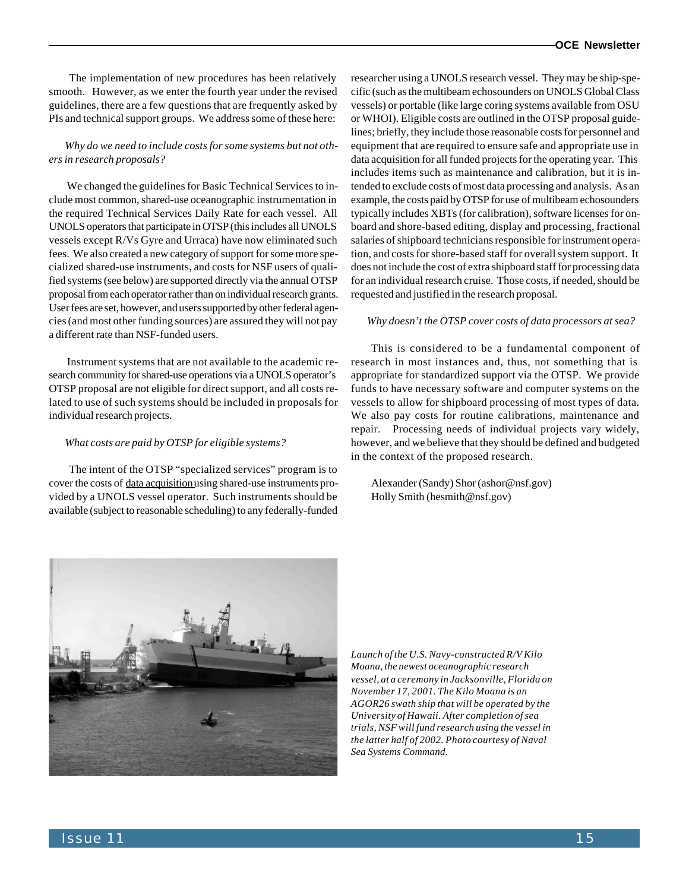The implementation of new procedures has been relatively smooth. However, as we enter the fourth year under the revised guidelines, there are a few questions that are frequently asked by PIs and technical support groups. We address some of these here:

#### *Why do we need to include costs for some systems but not others in research proposals?*

 We changed the guidelines for Basic Technical Services to include most common, shared-use oceanographic instrumentation in the required Technical Services Daily Rate for each vessel. All UNOLS operators that participate in OTSP (this includes all UNOLS vessels except R/Vs Gyre and Urraca) have now eliminated such fees. We also created a new category of support for some more specialized shared-use instruments, and costs for NSF users of qualified systems (see below) are supported directly via the annual OTSP proposal from each operator rather than on individual research grants. User fees are set, however, and users supported by other federal agencies (and most other funding sources) are assured they will not pay a different rate than NSF-funded users.

 Instrument systems that are not available to the academic research community for shared-use operations via a UNOLS operator's OTSP proposal are not eligible for direct support, and all costs related to use of such systems should be included in proposals for individual research projects.

#### *What costs are paid by OTSP for eligible systems?*

The intent of the OTSP "specialized services" program is to cover the costs of data acquisition using shared-use instruments provided by a UNOLS vessel operator. Such instruments should be available (subject to reasonable scheduling) to any federally-funded

researcher using a UNOLS research vessel. They may be ship-specific (such as the multibeam echosounders on UNOLS Global Class vessels) or portable (like large coring systems available from OSU or WHOI). Eligible costs are outlined in the OTSP proposal guidelines; briefly, they include those reasonable costs for personnel and equipment that are required to ensure safe and appropriate use in data acquisition for all funded projects for the operating year. This includes items such as maintenance and calibration, but it is intended to exclude costs of most data processing and analysis. As an example, the costs paid by OTSP for use of multibeam echosounders typically includes XBTs (for calibration), software licenses for onboard and shore-based editing, display and processing, fractional salaries of shipboard technicians responsible for instrument operation, and costs for shore-based staff for overall system support. It does not include the cost of extra shipboard staff for processing data for an individual research cruise. Those costs, if needed, should be requested and justified in the research proposal.

#### *Why doesn't the OTSP cover costs of data processors at sea?*

This is considered to be a fundamental component of research in most instances and, thus, not something that is appropriate for standardized support via the OTSP. We provide funds to have necessary software and computer systems on the vessels to allow for shipboard processing of most types of data. We also pay costs for routine calibrations, maintenance and repair. Processing needs of individual projects vary widely, however, and we believe that they should be defined and budgeted in the context of the proposed research.

Alexander (Sandy) Shor (ashor@nsf.gov) Holly Smith (hesmith@nsf.gov)



*Launch of the U.S. Navy-constructed R/V Kilo Moana, the newest oceanographic research vessel, at a ceremony in Jacksonville, Florida on November 17, 2001. The Kilo Moana is an AGOR26 swath ship that will be operated by the University of Hawaii. After completion of sea trials, NSF will fund research using the vessel in the latter half of 2002. Photo courtesy of Naval Sea Systems Command.*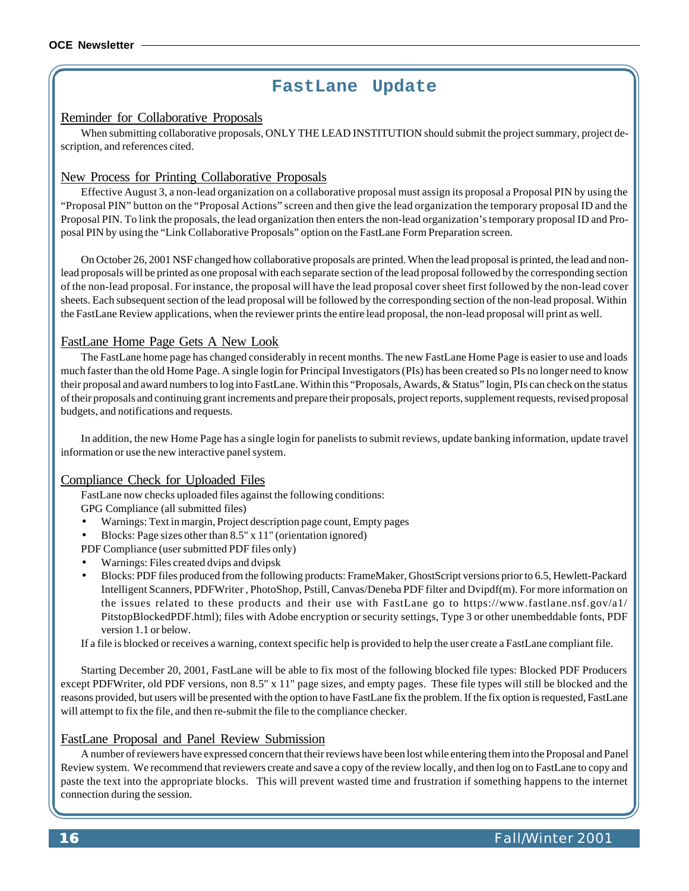### **FastLane Update**

#### Reminder for Collaborative Proposals

When submitting collaborative proposals, ONLY THE LEAD INSTITUTION should submit the project summary, project description, and references cited.

#### New Process for Printing Collaborative Proposals

Effective August 3, a non-lead organization on a collaborative proposal must assign its proposal a Proposal PIN by using the "Proposal PIN" button on the "Proposal Actions" screen and then give the lead organization the temporary proposal ID and the Proposal PIN. To link the proposals, the lead organization then enters the non-lead organization's temporary proposal ID and Proposal PIN by using the "Link Collaborative Proposals" option on the FastLane Form Preparation screen.

On October 26, 2001 NSF changed how collaborative proposals are printed. When the lead proposal is printed, the lead and nonlead proposals will be printed as one proposal with each separate section of the lead proposal followed by the corresponding section of the non-lead proposal. For instance, the proposal will have the lead proposal cover sheet first followed by the non-lead cover sheets. Each subsequent section of the lead proposal will be followed by the corresponding section of the non-lead proposal. Within the FastLane Review applications, when the reviewer prints the entire lead proposal, the non-lead proposal will print as well.

#### FastLane Home Page Gets A New Look

The FastLane home page has changed considerably in recent months. The new FastLane Home Page is easier to use and loads much faster than the old Home Page. A single login for Principal Investigators (PIs) has been created so PIs no longer need to know their proposal and award numbers to log into FastLane. Within this "Proposals, Awards, & Status" login, PIs can check on the status of their proposals and continuing grant increments and prepare their proposals, project reports, supplement requests, revised proposal budgets, and notifications and requests.

In addition, the new Home Page has a single login for panelists to submit reviews, update banking information, update travel information or use the new interactive panel system.

#### Compliance Check for Uploaded Files

FastLane now checks uploaded files against the following conditions:

- GPG Compliance (all submitted files)
- Warnings: Text in margin, Project description page count, Empty pages
- Blocks: Page sizes other than 8.5" x 11" (orientation ignored)

PDF Compliance (user submitted PDF files only)

- Warnings: Files created dvips and dvipsk
- Blocks: PDF files produced from the following products: FrameMaker, GhostScript versions prior to 6.5, Hewlett-Packard Intelligent Scanners, PDFWriter , PhotoShop, Pstill, Canvas/Deneba PDF filter and Dvipdf(m). For more information on the issues related to these products and their use with FastLane go to <https://www.fastlane.nsf.gov/a1/> PitstopBlockedPDF.html); files with Adobe encryption or security settings, Type 3 or other unembeddable fonts, PDF version 1.1 or below.

If a file is blocked or receives a warning, context specific help is provided to help the user create a FastLane compliant file.

Starting December 20, 2001, FastLane will be able to fix most of the following blocked file types: Blocked PDF Producers except PDFWriter, old PDF versions, non 8.5" x 11" page sizes, and empty pages. These file types will still be blocked and the reasons provided, but users will be presented with the option to have FastLane fix the problem. If the fix option is requested, FastLane will attempt to fix the file, and then re-submit the file to the compliance checker.

#### FastLane Proposal and Panel Review Submission

A number of reviewers have expressed concern that their reviews have been lost while entering them into the Proposal and Panel Review system. We recommend that reviewers create and save a copy of the review locally, and then log on to FastLane to copy and paste the text into the appropriate blocks. This will prevent wasted time and frustration if something happens to the internet connection during the session.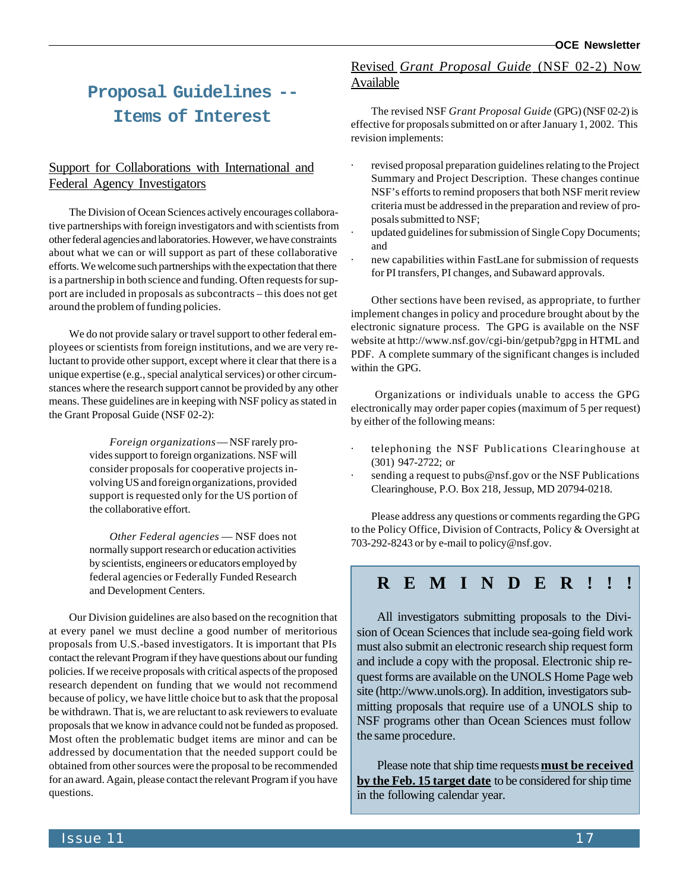### **Proposal Guidelines -- Items of Interest**

#### Support for Collaborations with International and Federal Agency Investigators

The Division of Ocean Sciences actively encourages collaborative partnerships with foreign investigators and with scientists from other federal agencies and laboratories. However, we have constraints about what we can or will support as part of these collaborative efforts. We welcome such partnerships with the expectation that there is a partnership in both science and funding. Often requests for support are included in proposals as subcontracts – this does not get around the problem of funding policies.

We do not provide salary or travel support to other federal employees or scientists from foreign institutions, and we are very reluctant to provide other support, except where it clear that there is a unique expertise (e.g., special analytical services) or other circumstances where the research support cannot be provided by any other means. These guidelines are in keeping with NSF policy as stated in the Grant Proposal Guide (NSF 02-2):

> *Foreign organizations* — NSF rarely provides support to foreign organizations. NSF will consider proposals for cooperative projects involving US and foreign organizations, provided support is requested only for the US portion of the collaborative effort.

> *Other Federal agencies* — NSF does not normally support research or education activities by scientists, engineers or educators employed by federal agencies or Federally Funded Research and Development Centers.

Our Division guidelines are also based on the recognition that at every panel we must decline a good number of meritorious proposals from U.S.-based investigators. It is important that PIs contact the relevant Program if they have questions about our funding policies. If we receive proposals with critical aspects of the proposed research dependent on funding that we would not recommend because of policy, we have little choice but to ask that the proposal be withdrawn. That is, we are reluctant to ask reviewers to evaluate proposals that we know in advance could not be funded as proposed. Most often the problematic budget items are minor and can be addressed by documentation that the needed support could be obtained from other sources were the proposal to be recommended for an award. Again, please contact the relevant Program if you have questions.

#### Revised *Grant Proposal Guide* (NSF 02-2) Now Available

The revised NSF *Grant Proposal Guide* (GPG) (NSF 02-2) is effective for proposals submitted on or after January 1, 2002. This revision implements:

- revised proposal preparation guidelines relating to the Project Summary and Project Description. These changes continue NSF's efforts to remind proposers that both NSF merit review criteria must be addressed in the preparation and review of proposals submitted to NSF;
- updated guidelines for submission of Single Copy Documents; and
- new capabilities within FastLane for submission of requests for PI transfers, PI changes, and Subaward approvals.

Other sections have been revised, as appropriate, to further implement changes in policy and procedure brought about by the electronic signature process. The GPG is available on the NSF website at<http://www.nsf.gov/cgi-bin/getpub?gpg>in HTML and PDF. A complete summary of the significant changes is included within the GPG.

 Organizations or individuals unable to access the GPG electronically may order paper copies (maximum of 5 per request) by either of the following means:

- telephoning the NSF Publications Clearinghouse at (301) 947-2722; or
- sending a request to pubs@nsf.gov or the NSF Publications Clearinghouse, P.O. Box 218, Jessup, MD 20794-0218.

Please address any questions or comments regarding the GPG to the Policy Office, Division of Contracts, Policy & Oversight at 703-292-8243 or by e-mail to policy@nsf.gov.

### **REMINDER!!!**

All investigators submitting proposals to the Division of Ocean Sciences that include sea-going field work must also submit an electronic research ship request form and include a copy with the proposal. Electronic ship request forms are available on the UNOLS Home Page web site [\(http://www.unols.org\).](http://www.unols.org) In addition, investigators submitting proposals that require use of a UNOLS ship to NSF programs other than Ocean Sciences must follow the same procedure.

Please note that ship time requests **must be received by the Feb. 15 target date** to be considered for ship time in the following calendar year.

**Issue 11** 17 **17**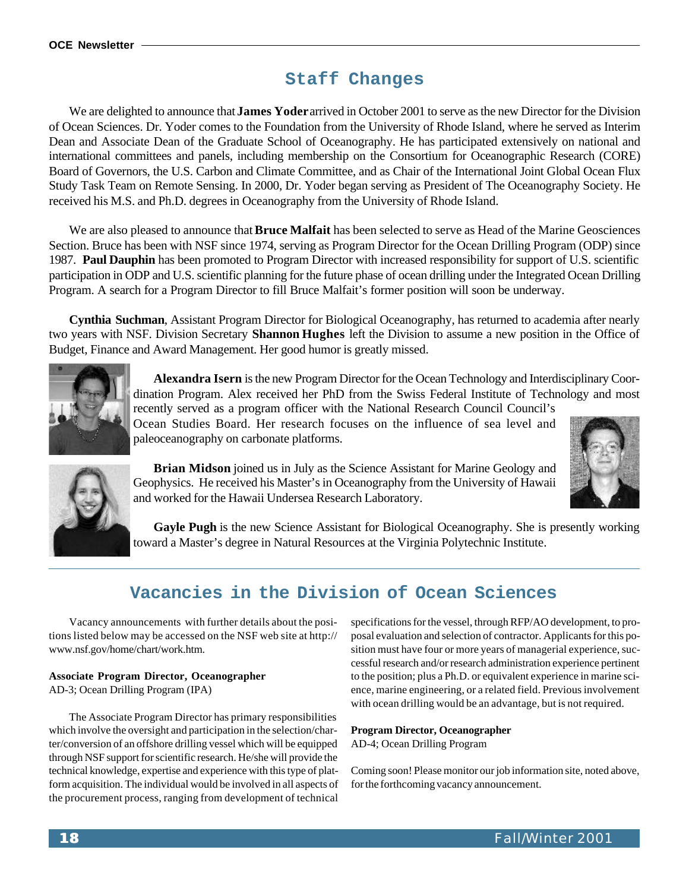### **Staff Changes**

We are delighted to announce that **James Yoder** arrived in October 2001 to serve as the new Director for the Division of Ocean Sciences. Dr. Yoder comes to the Foundation from the University of Rhode Island, where he served as Interim Dean and Associate Dean of the Graduate School of Oceanography. He has participated extensively on national and international committees and panels, including membership on the Consortium for Oceanographic Research (CORE) Board of Governors, the U.S. Carbon and Climate Committee, and as Chair of the International Joint Global Ocean Flux Study Task Team on Remote Sensing. In 2000, Dr. Yoder began serving as President of The Oceanography Society. He received his M.S. and Ph.D. degrees in Oceanography from the University of Rhode Island.

We are also pleased to announce that **Bruce Malfait** has been selected to serve as Head of the Marine Geosciences Section. Bruce has been with NSF since 1974, serving as Program Director for the Ocean Drilling Program (ODP) since 1987. **Paul Dauphin** has been promoted to Program Director with increased responsibility for support of U.S. scientific participation in ODP and U.S. scientific planning for the future phase of ocean drilling under the Integrated Ocean Drilling Program. A search for a Program Director to fill Bruce Malfait's former position will soon be underway.

**Cynthia Suchman**, Assistant Program Director for Biological Oceanography, has returned to academia after nearly two years with NSF. Division Secretary **Shannon Hughes** left the Division to assume a new position in the Office of Budget, Finance and Award Management. Her good humor is greatly missed.



**Alexandra Isern** is the new Program Director for the Ocean Technology and Interdisciplinary Coordination Program. Alex received her PhD from the Swiss Federal Institute of Technology and most

recently served as a program officer with the National Research Council Council's Ocean Studies Board. Her research focuses on the influence of sea level and paleoceanography on carbonate platforms.



**Brian Midson** joined us in July as the Science Assistant for Marine Geology and Geophysics. He received his Master's in Oceanography from the University of Hawaii and worked for the Hawaii Undersea Research Laboratory.



**Gayle Pugh** is the new Science Assistant for Biological Oceanography. She is presently working toward a Master's degree in Natural Resources at the Virginia Polytechnic Institute.

### **Vacancies in the Division of Ocean Sciences**

Vacancy announcements with further details about the positions listed below may be accessed on the NSF web site at<http://> www.nsf.gov/home/chart/work.htm.

#### **Associate Program Director, Oceanographer**

AD-3; Ocean Drilling Program (IPA)

The Associate Program Director has primary responsibilities which involve the oversight and participation in the selection/charter/conversion of an offshore drilling vessel which will be equipped through NSF support for scientific research. He/she will provide the technical knowledge, expertise and experience with this type of platform acquisition. The individual would be involved in all aspects of the procurement process, ranging from development of technical

specifications for the vessel, through RFP/AO development, to proposal evaluation and selection of contractor. Applicants for this position must have four or more years of managerial experience, successful research and/or research administration experience pertinent to the position; plus a Ph.D. or equivalent experience in marine science, marine engineering, or a related field. Previous involvement with ocean drilling would be an advantage, but is not required.

#### **Program Director, Oceanographer**

AD-4; Ocean Drilling Program

Coming soon! Please monitor our job information site, noted above, for the forthcoming vacancy announcement.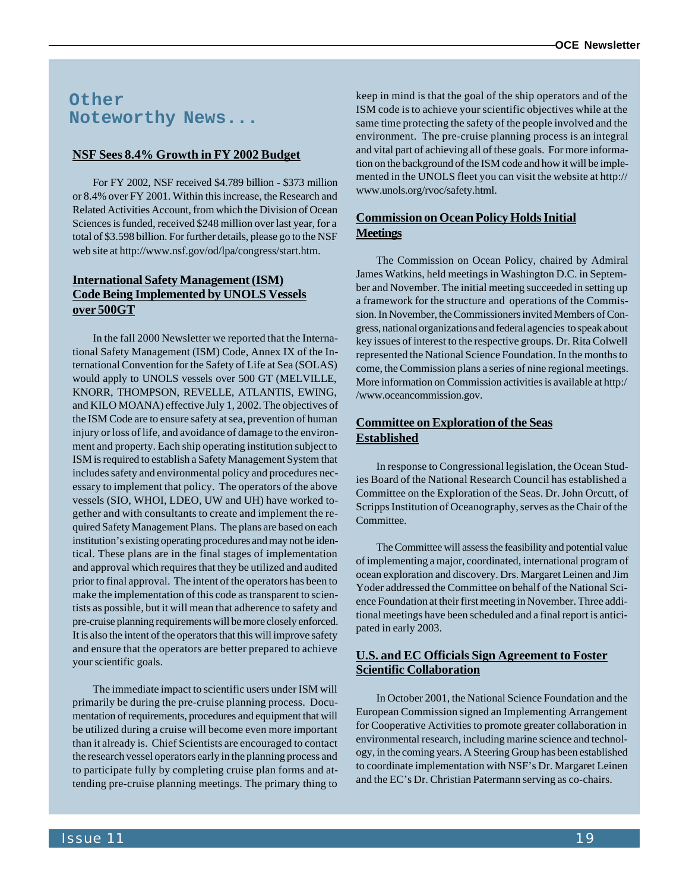### **Other Noteworthy News...**

#### **NSF Sees 8.4% Growth in FY 2002 Budget**

For FY 2002, NSF received \$4.789 billion - \$373 million or 8.4% over FY 2001. Within this increase, the Research and Related Activities Account, from which the Division of Ocean Sciences is funded, received \$248 million over last year, for a total of \$3.598 billion. For further details, please go to the NSF web site at [http://www.nsf.gov/od/lpa/congress/start.htm.](http://www.nsf.gov/od/lpa/congress/start.htm)

#### **International Safety Management (ISM) Code Being Implemented by UNOLS Vessels over 500GT**

In the fall 2000 Newsletter we reported that the International Safety Management (ISM) Code, Annex IX of the International Convention for the Safety of Life at Sea (SOLAS) would apply to UNOLS vessels over 500 GT (MELVILLE, KNORR, THOMPSON, REVELLE, ATLANTIS, EWING, and KILO MOANA) effective July 1, 2002. The objectives of the ISM Code are to ensure safety at sea, prevention of human injury or loss of life, and avoidance of damage to the environment and property. Each ship operating institution subject to ISM is required to establish a Safety Management System that includes safety and environmental policy and procedures necessary to implement that policy. The operators of the above vessels (SIO, WHOI, LDEO, UW and UH) have worked together and with consultants to create and implement the required Safety Management Plans. The plans are based on each institution's existing operating procedures and may not be identical. These plans are in the final stages of implementation and approval which requires that they be utilized and audited prior to final approval. The intent of the operators has been to make the implementation of this code as transparent to scientists as possible, but it will mean that adherence to safety and pre-cruise planning requirements will be more closely enforced. It is also the intent of the operators that this will improve safety and ensure that the operators are better prepared to achieve your scientific goals.

The immediate impact to scientific users under ISM will primarily be during the pre-cruise planning process. Documentation of requirements, procedures and equipment that will be utilized during a cruise will become even more important than it already is. Chief Scientists are encouraged to contact the research vessel operators early in the planning process and to participate fully by completing cruise plan forms and attending pre-cruise planning meetings. The primary thing to

keep in mind is that the goal of the ship operators and of the ISM code is to achieve your scientific objectives while at the same time protecting the safety of the people involved and the environment. The pre-cruise planning process is an integral and vital part of achieving all of these goals. For more information on the background of the ISM code and how it will be implemented in the UNOLS fleet you can visit the website at<http://> www.unols.org/rvoc/safety.html.

#### **Commission on Ocean Policy Holds Initial Meetings**

The Commission on Ocean Policy, chaired by Admiral James Watkins, held meetings in Washington D.C. in September and November. The initial meeting succeeded in setting up a framework for the structure and operations of the Commission. In November, the Commissioners invited Members of Congress, national organizations and federal agencies to speak about key issues of interest to the respective groups. Dr. Rita Colwell represented the National Science Foundation. In the months to come, the Commission plans a series of nine regional meetings. More information on Commission activities is available at http:/ /www.oceancommission.gov.

#### **Committee on Exploration of the Seas Established**

In response to Congressional legislation, the Ocean Studies Board of the National Research Council has established a Committee on the Exploration of the Seas. Dr. John Orcutt, of Scripps Institution of Oceanography, serves as the Chair of the Committee.

The Committee will assess the feasibility and potential value of implementing a major, coordinated, international program of ocean exploration and discovery. Drs. Margaret Leinen and Jim Yoder addressed the Committee on behalf of the National Science Foundation at their first meeting in November. Three additional meetings have been scheduled and a final report is anticipated in early 2003.

#### **U.S. and EC Officials Sign Agreement to Foster Scientific Collaboration**

In October 2001, the National Science Foundation and the European Commission signed an Implementing Arrangement for Cooperative Activities to promote greater collaboration in environmental research, including marine science and technology, in the coming years. A Steering Group has been established to coordinate implementation with NSF's Dr. Margaret Leinen and the EC's Dr. Christian Patermann serving as co-chairs.